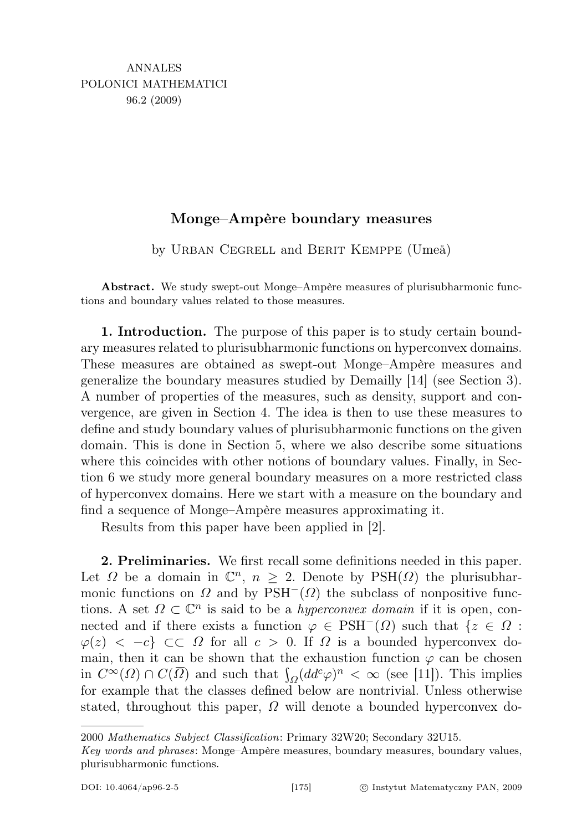## Monge–Ampère boundary measures

by Urban Cegrell and Berit Kemppe (Umeå)

Abstract. We study swept-out Monge–Ampère measures of plurisubharmonic functions and boundary values related to those measures.

1. Introduction. The purpose of this paper is to study certain boundary measures related to plurisubharmonic functions on hyperconvex domains. These measures are obtained as swept-out Monge–Ampère measures and generalize the boundary measures studied by Demailly [14] (see Section 3). A number of properties of the measures, such as density, support and convergence, are given in Section 4. The idea is then to use these measures to define and study boundary values of plurisubharmonic functions on the given domain. This is done in Section 5, where we also describe some situations where this coincides with other notions of boundary values. Finally, in Section 6 we study more general boundary measures on a more restricted class of hyperconvex domains. Here we start with a measure on the boundary and find a sequence of Monge–Ampère measures approximating it.

Results from this paper have been applied in [2].

2. Preliminaries. We first recall some definitions needed in this paper. Let  $\Omega$  be a domain in  $\mathbb{C}^n$ ,  $n \geq 2$ . Denote by PSH( $\Omega$ ) the plurisubharmonic functions on  $\Omega$  and by PSH<sup>-</sup>( $\Omega$ ) the subclass of nonpositive functions. A set  $\Omega \subset \mathbb{C}^n$  is said to be a *hyperconvex domain* if it is open, connected and if there exists a function  $\varphi \in \text{PSH}^-(\Omega)$  such that  $\{z \in \Omega :$  $\varphi(z) < -c$   $\subset \Omega$  for all  $c > 0$ . If  $\Omega$  is a bounded hyperconvex domain, then it can be shown that the exhaustion function  $\varphi$  can be chosen in  $C^{\infty}(\Omega) \cap C(\overline{\Omega})$  and such that  $\int_{\Omega} (dd^c \varphi)^n < \infty$  (see [11]). This implies for example that the classes defined below are nontrivial. Unless otherwise stated, throughout this paper,  $\Omega$  will denote a bounded hyperconvex do-

<sup>2000</sup> Mathematics Subject Classification: Primary 32W20; Secondary 32U15.

Key words and phrases: Monge–Ampère measures, boundary measures, boundary values, plurisubharmonic functions.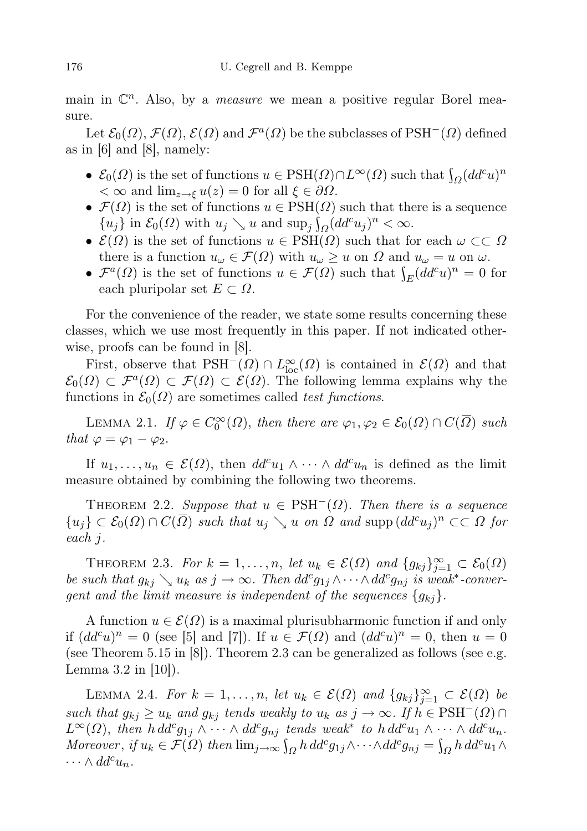main in  $\mathbb{C}^n$ . Also, by a *measure* we mean a positive regular Borel measure.

Let  $\mathcal{E}_0(\Omega)$ ,  $\mathcal{F}(\Omega)$ ,  $\mathcal{E}(\Omega)$  and  $\mathcal{F}^a(\Omega)$  be the subclasses of PSH<sup>-</sup>( $\Omega$ ) defined as in [6] and [8], namely:

- $\mathcal{E}_0(\Omega)$  is the set of functions  $u \in \text{PSH}(\Omega) \cap L^{\infty}(\Omega)$  such that  $\int_{\Omega} (dd^c u)^n$  $< \infty$  and  $\lim_{z \to \xi} u(z) = 0$  for all  $\xi \in \partial \Omega$ .
- $\mathcal{F}(\Omega)$  is the set of functions  $u \in \text{PSH}(\Omega)$  such that there is a sequence  $\{u_j\}$  in  $\mathcal{E}_0(\Omega)$  with  $u_j \searrow u$  and  $\sup_j \int_{\Omega} (dd^c u_j)^n < \infty$ .
- $\mathcal{E}(\Omega)$  is the set of functions  $u \in \text{PSH}(\Omega)$  such that for each  $\omega \subset\subset \Omega$ there is a function  $u_{\omega} \in \mathcal{F}(\Omega)$  with  $u_{\omega} \geq u$  on  $\Omega$  and  $u_{\omega} = u$  on  $\omega$ .
- $\mathcal{F}^a(\Omega)$  is the set of functions  $u \in \mathcal{F}(\Omega)$  such that  $\int_E (dd^c u)^n = 0$  for each pluripolar set  $E \subset \Omega$ .

For the convenience of the reader, we state some results concerning these classes, which we use most frequently in this paper. If not indicated otherwise, proofs can be found in [8].

First, observe that  $PSH^{-}(\Omega) \cap L^{\infty}_{loc}(\Omega)$  is contained in  $\mathcal{E}(\Omega)$  and that  $\mathcal{E}_0(\Omega) \subset \mathcal{F}^a(\Omega) \subset \mathcal{F}(\Omega) \subset \mathcal{E}(\Omega)$ . The following lemma explains why the functions in  $\mathcal{E}_0(\Omega)$  are sometimes called test functions.

LEMMA 2.1. If  $\varphi \in C_0^{\infty}(\Omega)$ , then there are  $\varphi_1, \varphi_2 \in \mathcal{E}_0(\Omega) \cap C(\overline{\Omega})$  such that  $\varphi = \varphi_1 - \varphi_2$ .

If  $u_1, \ldots, u_n \in \mathcal{E}(\Omega)$ , then  $dd^c u_1 \wedge \cdots \wedge dd^c u_n$  is defined as the limit measure obtained by combining the following two theorems.

THEOREM 2.2. Suppose that  $u \in PSH^{-}(\Omega)$ . Then there is a sequence  ${u_j} \subset \mathcal{E}_0(\Omega) \cap C(\overline{\Omega})$  such that  $u_j \searrow u$  on  $\Omega$  and supp  $(dd^c u_j)^n \subset\subset \Omega$  for each j.

THEOREM 2.3. For  $k = 1, ..., n$ , let  $u_k \in \mathcal{E}(\Omega)$  and  $\{g_{kj}\}_{j=1}^{\infty} \subset \mathcal{E}_0(\Omega)$ be such that  $g_{kj} \searrow u_k$  as  $j \to \infty$ . Then  $dd^c g_{1j} \wedge \cdots \wedge dd^c g_{nj}$  is weak<sup>\*</sup>-convergent and the limit measure is independent of the sequences  $\{g_{ki}\}.$ 

A function  $u \in \mathcal{E}(\Omega)$  is a maximal plurisubharmonic function if and only if  $(dd^c u)^n = 0$  (see [5] and [7]). If  $u \in \mathcal{F}(\Omega)$  and  $(dd^c u)^n = 0$ , then  $u = 0$ (see Theorem 5.15 in [8]). Theorem 2.3 can be generalized as follows (see e.g. Lemma  $3.2$  in  $|10|$ ).

LEMMA 2.4. For  $k = 1, ..., n$ , let  $u_k \in \mathcal{E}(\Omega)$  and  $\{g_{kj}\}_{j=1}^{\infty} \subset \mathcal{E}(\Omega)$  be such that  $g_{kj} \geq u_k$  and  $g_{kj}$  tends weakly to  $u_k$  as  $j \to \infty$ . If  $h \in PSH^{-}(\Omega) \cap$  $L^{\infty}(\Omega)$ , then  $h dd^c g_{1j} \wedge \cdots \wedge dd^c g_{nj}$  tends weak<sup>\*</sup> to  $h dd^c u_1 \wedge \cdots \wedge dd^c u_n$ . Moreover, if  $u_k \in \mathcal{F}(\Omega)$  then  $\lim_{j\to\infty} \int_{\Omega} h \, dd^c g_{1j} \wedge \cdots \wedge dd^c g_{nj} = \int_{\Omega} h \, dd^c u_1 \wedge$  $\cdots \wedge dd^c u_n$ .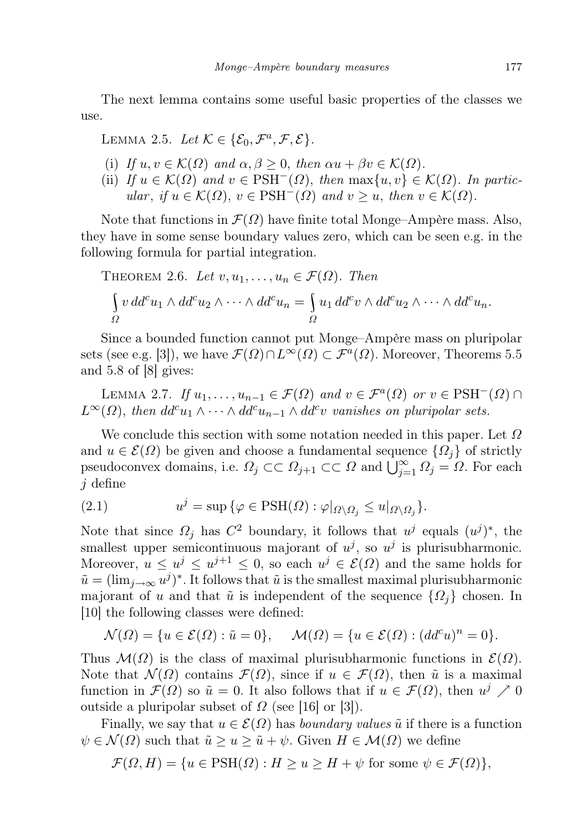The next lemma contains some useful basic properties of the classes we use.

## LEMMA 2.5. Let  $\mathcal{K} \in \{ \mathcal{E}_0, \mathcal{F}^a, \mathcal{F}, \mathcal{E} \}.$

- (i) If  $u, v \in \mathcal{K}(\Omega)$  and  $\alpha, \beta \geq 0$ , then  $\alpha u + \beta v \in \mathcal{K}(\Omega)$ .
- (ii) If  $u \in \mathcal{K}(\Omega)$  and  $v \in \text{PSH}^-(\Omega)$ , then  $\max\{u, v\} \in \mathcal{K}(\Omega)$ . In particular, if  $u \in \mathcal{K}(\Omega)$ ,  $v \in \text{PSH}^-(\Omega)$  and  $v \geq u$ , then  $v \in \mathcal{K}(\Omega)$ .

Note that functions in  $\mathcal{F}(\Omega)$  have finite total Monge–Ampère mass. Also, they have in some sense boundary values zero, which can be seen e.g. in the following formula for partial integration.

THEOREM 2.6. Let 
$$
v, u_1, ..., u_n \in \mathcal{F}(\Omega)
$$
. Then  
\n
$$
\int_{\Omega} v \, dd^c u_1 \wedge dd^c u_2 \wedge \cdots \wedge dd^c u_n = \int_{\Omega} u_1 \, dd^c v \wedge dd^c u_2 \wedge \cdots \wedge dd^c u_n.
$$

Since a bounded function cannot put Monge–Ampère mass on pluripolar sets (see e.g. [3]), we have  $\mathcal{F}(\Omega) \cap L^{\infty}(\Omega) \subset \mathcal{F}^{a}(\Omega)$ . Moreover, Theorems 5.5 and 5.8 of [8] gives:

LEMMA 2.7. If  $u_1, \ldots, u_{n-1} \in \mathcal{F}(\Omega)$  and  $v \in \mathcal{F}^a(\Omega)$  or  $v \in \text{PSH}^-(\Omega) \cap$  $L^{\infty}(\Omega)$ , then  $dd^c u_1 \wedge \cdots \wedge dd^c u_{n-1} \wedge dd^c v$  vanishes on pluripolar sets.

We conclude this section with some notation needed in this paper. Let  $\Omega$ and  $u \in \mathcal{E}(\Omega)$  be given and choose a fundamental sequence  $\{\Omega_i\}$  of strictly pseudoconvex domains, i.e.  $\Omega_j \subset\subset \Omega_{j+1} \subset\subset \Omega$  and  $\overline{\bigcup_{j=1}^{\infty} \Omega_j} = \Omega$ . For each  $j$  define

(2.1) 
$$
u^j = \sup \{ \varphi \in \text{PSH}(\Omega) : \varphi|_{\Omega \setminus \Omega_j} \leq u|_{\Omega \setminus \Omega_j} \}.
$$

Note that since  $\Omega_j$  has  $C^2$  boundary, it follows that  $u^j$  equals  $(u^j)^*$ , the smallest upper semicontinuous majorant of  $u^j$ , so  $u^j$  is plurisubharmonic. Moreover,  $u \leq u^j \leq u^{j+1} \leq 0$ , so each  $u^j \in \mathcal{E}(\Omega)$  and the same holds for  $\tilde{u} = (\lim_{j \to \infty} u^j)^*$ . It follows that  $\tilde{u}$  is the smallest maximal plurisubharmonic majorant of u and that  $\tilde{u}$  is independent of the sequence  $\{\Omega_i\}$  chosen. In [10] the following classes were defined:

$$
\mathcal{N}(\Omega) = \{ u \in \mathcal{E}(\Omega) : \tilde{u} = 0 \}, \quad \mathcal{M}(\Omega) = \{ u \in \mathcal{E}(\Omega) : (dd^c u)^n = 0 \}.
$$

Thus  $\mathcal{M}(\Omega)$  is the class of maximal plurisubharmonic functions in  $\mathcal{E}(\Omega)$ . Note that  $\mathcal{N}(\Omega)$  contains  $\mathcal{F}(\Omega)$ , since if  $u \in \mathcal{F}(\Omega)$ , then  $\tilde{u}$  is a maximal function in  $\mathcal{F}(\Omega)$  so  $\tilde{u} = 0$ . It also follows that if  $u \in \mathcal{F}(\Omega)$ , then  $u^j \nearrow 0$ outside a pluripolar subset of  $\Omega$  (see [16] or [3]).

Finally, we say that  $u \in \mathcal{E}(\Omega)$  has *boundary values*  $\tilde{u}$  if there is a function  $\psi \in \mathcal{N}(\Omega)$  such that  $\tilde{u} \ge u \ge \tilde{u} + \psi$ . Given  $H \in \mathcal{M}(\Omega)$  we define

$$
\mathcal{F}(\Omega, H) = \{ u \in \text{PSH}(\Omega) : H \ge u \ge H + \psi \text{ for some } \psi \in \mathcal{F}(\Omega) \},
$$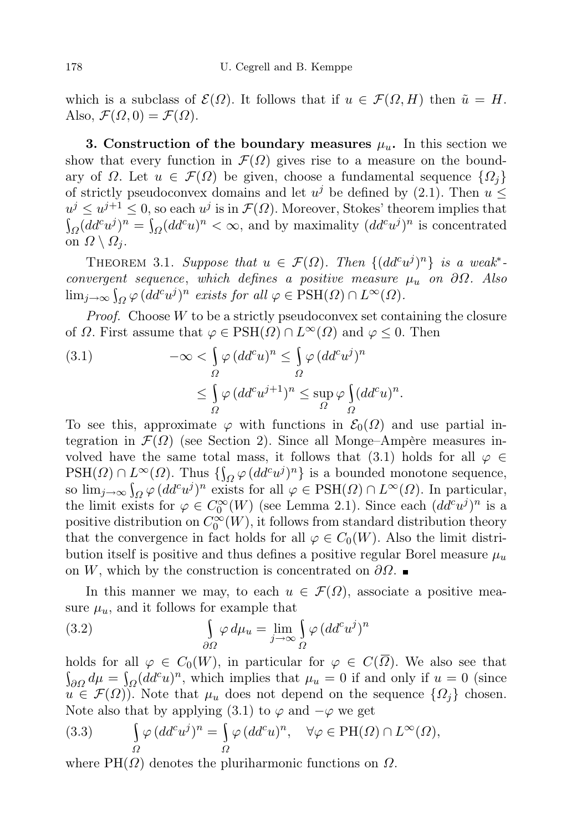which is a subclass of  $\mathcal{E}(\Omega)$ . It follows that if  $u \in \mathcal{F}(\Omega, H)$  then  $\tilde{u} = H$ . Also,  $\mathcal{F}(\Omega, 0) = \mathcal{F}(\Omega)$ .

3. Construction of the boundary measures  $\mu_u$ . In this section we show that every function in  $\mathcal{F}(\Omega)$  gives rise to a measure on the boundary of  $\Omega$ . Let  $u \in \mathcal{F}(\Omega)$  be given, choose a fundamental sequence  $\{\Omega_i\}$ of strictly pseudoconvex domains and let  $u^j$  be defined by (2.1). Then  $u \leq$  $u^j \leq u^{j+1} \leq 0$ , so each  $u^j$  is in  $\mathcal{F}(\Omega)$ . Moreover, Stokes' theorem implies that  $\int_{\Omega} (dd^c u^j)^n = \int_{\Omega} (dd^c u)^n < \infty$ , and by maximality  $(dd^c u^j)^n$  is concentrated on  $\Omega \setminus \Omega_i$ .

THEOREM 3.1. Suppose that  $u \in \mathcal{F}(\Omega)$ . Then  $\{ (dd^c u^j)^n \}$  is a weak<sup>\*</sup>convergent sequence, which defines a positive measure  $\mu_u$  on  $\partial\Omega$ . Also  $\lim_{j\to\infty} \int_{\Omega} \varphi (dd^c u^j)^n \text{ exists for all } \varphi \in \text{PSH}(\Omega) \cap L^{\infty}(\Omega).$ 

*Proof.* Choose  $W$  to be a strictly pseudoconvex set containing the closure of  $\Omega$ . First assume that  $\varphi \in \text{PSH}(\Omega) \cap L^{\infty}(\Omega)$  and  $\varphi \leq 0$ . Then

(3.1) 
$$
-\infty < \int_{\Omega} \varphi (dd^c u)^n \leq \int_{\Omega} \varphi (dd^c u^j)^n
$$

$$
\leq \int_{\Omega} \varphi (dd^c u^{j+1})^n \leq \sup_{\Omega} \varphi \int_{\Omega} (dd^c u)^n.
$$

To see this, approximate  $\varphi$  with functions in  $\mathcal{E}_0(\Omega)$  and use partial integration in  $\mathcal{F}(\Omega)$  (see Section 2). Since all Monge–Ampère measures involved have the same total mass, it follows that (3.1) holds for all  $\varphi \in$  $PSH(\Omega) \cap L^{\infty}(\Omega)$ . Thus  $\{\int_{\Omega} \varphi (dd^c u^j)^n\}$  is a bounded monotone sequence, so  $\lim_{j\to\infty} \int_{\Omega} \varphi (dd^c u^j)^n$  exists for all  $\varphi \in \text{PSH}(\Omega) \cap L^{\infty}(\Omega)$ . In particular, the limit exists for  $\varphi \in C_0^{\infty}(W)$  (see Lemma 2.1). Since each  $(dd^c u^j)^n$  is a positive distribution on  $C_0^{\infty}(W)$ , it follows from standard distribution theory that the convergence in fact holds for all  $\varphi \in C_0(W)$ . Also the limit distribution itself is positive and thus defines a positive regular Borel measure  $\mu_u$ on W, which by the construction is concentrated on  $\partial\Omega$ .

In this manner we may, to each  $u \in \mathcal{F}(\Omega)$ , associate a positive measure  $\mu_u$ , and it follows for example that

(3.2) 
$$
\int_{\partial \Omega} \varphi \, d\mu_u = \lim_{j \to \infty} \int_{\Omega} \varphi \, (dd^c u^j)^n
$$

holds for all  $\varphi \in C_0(W)$ , in particular for  $\varphi \in C(\overline{\Omega})$ . We also see that  $\int_{\partial\Omega} d\mu = \int_{\Omega} (dd^c u)^n$ , which implies that  $\mu_u = 0$  if and only if  $u = 0$  (since  $u \in \mathcal{F}(\Omega)$ . Note that  $\mu_u$  does not depend on the sequence  $\{\Omega_i\}$  chosen. Note also that by applying (3.1) to  $\varphi$  and  $-\varphi$  we get

(3.3) 
$$
\int_{\Omega} \varphi (dd^c u^j)^n = \int_{\Omega} \varphi (dd^c u)^n, \quad \forall \varphi \in PH(\Omega) \cap L^{\infty}(\Omega),
$$

where  $PH(\Omega)$  denotes the pluriharmonic functions on  $\Omega$ .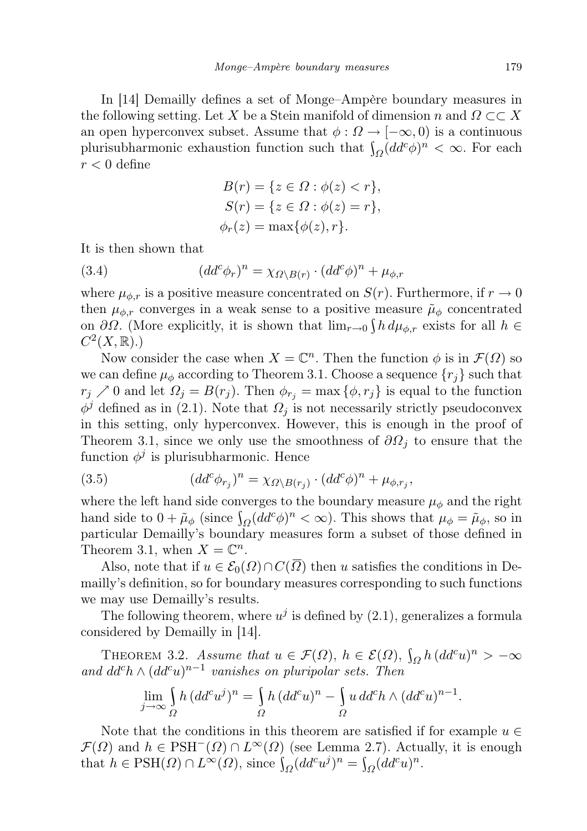In [14] Demailly defines a set of Monge–Ampère boundary measures in the following setting. Let X be a Stein manifold of dimension n and  $\Omega \subset \subset X$ an open hyperconvex subset. Assume that  $\phi : \Omega \to [-\infty, 0]$  is a continuous plurisubharmonic exhaustion function such that  $\int_{\Omega} (dd^c \phi)^n < \infty$ . For each  $r < 0$  define

$$
B(r) = \{ z \in \Omega : \phi(z) < r \},
$$
\n
$$
S(r) = \{ z \in \Omega : \phi(z) = r \},
$$
\n
$$
\phi_r(z) = \max\{\phi(z), r\}.
$$

It is then shown that

(3.4) 
$$
(dd^c \phi_r)^n = \chi_{\Omega \backslash B(r)} \cdot (dd^c \phi)^n + \mu_{\phi,r}
$$

where  $\mu_{\phi,r}$  is a positive measure concentrated on  $S(r)$ . Furthermore, if  $r \to 0$ then  $\mu_{\phi,r}$  converges in a weak sense to a positive measure  $\tilde{\mu}_{\phi}$  concentrated on  $\partial\Omega$ . (More explicitly, it is shown that  $\lim_{r\to 0} \int h d\mu_{\phi,r}$  exists for all  $h \in$  $C^2(X,\mathbb{R}).$ 

Now consider the case when  $X = \mathbb{C}^n$ . Then the function  $\phi$  is in  $\mathcal{F}(\Omega)$  so we can define  $\mu_{\phi}$  according to Theorem 3.1. Choose a sequence  $\{r_i\}$  such that  $r_j \nearrow 0$  and let  $\Omega_j = B(r_j)$ . Then  $\phi_{r_j} = \max{\{\phi, r_j\}}$  is equal to the function  $\phi^j$  defined as in (2.1). Note that  $\Omega_j$  is not necessarily strictly pseudoconvex in this setting, only hyperconvex. However, this is enough in the proof of Theorem 3.1, since we only use the smoothness of  $\partial\Omega_j$  to ensure that the function  $\phi^j$  is plurisubharmonic. Hence

(3.5) 
$$
(dd^c \phi_{r_j})^n = \chi_{\Omega \setminus B(r_j)} \cdot (dd^c \phi)^n + \mu_{\phi, r_j},
$$

where the left hand side converges to the boundary measure  $\mu_{\phi}$  and the right hand side to  $0 + \tilde{\mu}_{\phi}$  (since  $\int_{\Omega} (dd^c \phi)^n < \infty$ ). This shows that  $\mu_{\phi} = \tilde{\mu}_{\phi}$ , so in particular Demailly's boundary measures form a subset of those defined in Theorem 3.1, when  $X = \mathbb{C}^n$ .

Also, note that if  $u \in \mathcal{E}_0(\Omega) \cap C(\Omega)$  then u satisfies the conditions in Demailly's definition, so for boundary measures corresponding to such functions we may use Demailly's results.

The following theorem, where  $u^j$  is defined by  $(2.1)$ , generalizes a formula considered by Demailly in [14].

THEOREM 3.2. Assume that  $u \in \mathcal{F}(\Omega)$ ,  $h \in \mathcal{E}(\Omega)$ ,  $\int_{\Omega} h (dd^c u)^n > -\infty$ and  $dd^c h \wedge (dd^c u)^{n-1}$  vanishes on pluripolar sets. Then

$$
\lim_{j \to \infty} \int_{\Omega} h \, (dd^c u^j)^n = \int_{\Omega} h \, (dd^c u)^n - \int_{\Omega} u \, dd^c h \wedge (dd^c u)^{n-1}.
$$

Note that the conditions in this theorem are satisfied if for example  $u \in$  $\mathcal{F}(\Omega)$  and  $h \in PSH^{-}(\Omega) \cap L^{\infty}(\Omega)$  (see Lemma 2.7). Actually, it is enough that  $h \in \text{PSH}(\Omega) \cap L^{\infty}(\Omega)$ , since  $\int_{\Omega} (dd^c u^j)^n = \int_{\Omega} (dd^c u)^n$ .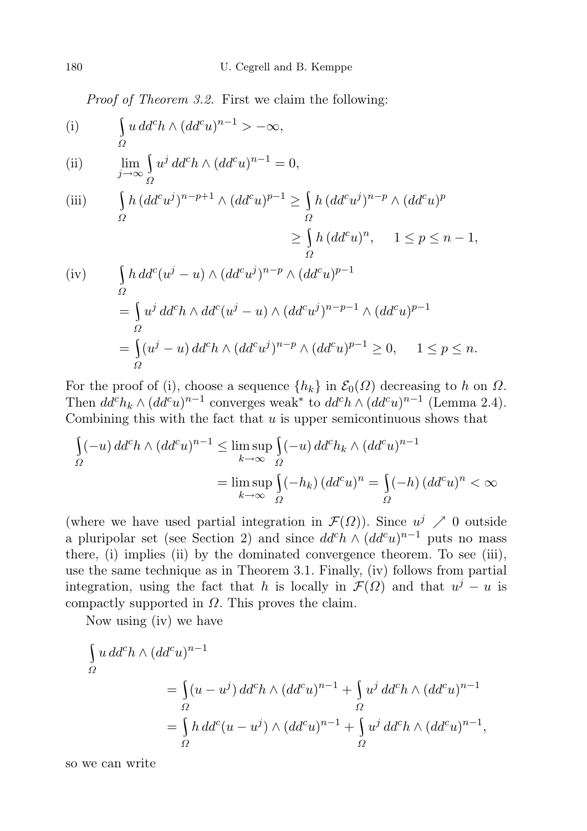Proof of Theorem 3.2. First we claim the following:

(i) 
$$
\int_{\Omega} u \, dd^c h \wedge (dd^c u)^{n-1} > -\infty,
$$

(ii) 
$$
\lim_{j \to \infty} \int_{\Omega} u^j d d^c h \wedge (d d^c u)^{n-1} = 0,
$$

(iii) 
$$
\int_{\Omega} h (dd^c u^j)^{n-p+1} \wedge (dd^c u)^{p-1} \ge \int_{\Omega} h (dd^c u^j)^{n-p} \wedge (dd^c u)^p
$$

$$
\ge \int_{\Omega} h (dd^c u)^n, \quad 1 \le p \le n-1,
$$

(iv) 
$$
\int_{\Omega} h \, dd^c(u^j - u) \wedge (dd^c u^j)^{n-p} \wedge (dd^c u)^{p-1}
$$

$$
= \int_{\Omega} u^j \, dd^c h \wedge dd^c(u^j - u) \wedge (dd^c u^j)^{n-p-1} \wedge (dd^c u)^{p-1}
$$

$$
= \int_{\Omega} (u^j - u) \, dd^c h \wedge (dd^c u^j)^{n-p} \wedge (dd^c u)^{p-1} \ge 0, \quad 1 \le p \le n.
$$

For the proof of (i), choose a sequence  $\{h_k\}$  in  $\mathcal{E}_0(\Omega)$  decreasing to h on  $\Omega$ . Then  $dd^ch_k \wedge (dd^cu)^{n-1}$  converges weak<sup>\*</sup> to  $dd^ch \wedge (dd^cu)^{n-1}$  (Lemma 2.4). Combining this with the fact that  $u$  is upper semicontinuous shows that

$$
\int_{\Omega} (-u) \, dd^c h \wedge (dd^c u)^{n-1} \le \limsup_{k \to \infty} \int_{\Omega} (-u) \, dd^c h_k \wedge (dd^c u)^{n-1}
$$

$$
= \limsup_{k \to \infty} \int_{\Omega} (-h_k) \, (dd^c u)^n = \int_{\Omega} (-h) \, (dd^c u)^n < \infty
$$

(where we have used partial integration in  $\mathcal{F}(\Omega)$ ). Since  $u^j \nearrow 0$  outside a pluripolar set (see Section 2) and since  $dd^c h \wedge (dd^c u)^{n-1}$  puts no mass there, (i) implies (ii) by the dominated convergence theorem. To see (iii), use the same technique as in Theorem 3.1. Finally, (iv) follows from partial integration, using the fact that h is locally in  $\mathcal{F}(\Omega)$  and that  $u^j - u$  is compactly supported in  $\Omega$ . This proves the claim.

Now using (iv) we have

$$
\int_{\Omega} u \, dd^c h \wedge (dd^c u)^{n-1}
$$
\n
$$
= \int_{\Omega} (u - u^j) \, dd^c h \wedge (dd^c u)^{n-1} + \int_{\Omega} u^j \, dd^c h \wedge (dd^c u)^{n-1}
$$
\n
$$
= \int_{\Omega} h \, dd^c (u - u^j) \wedge (dd^c u)^{n-1} + \int_{\Omega} u^j \, dd^c h \wedge (dd^c u)^{n-1},
$$

so we can write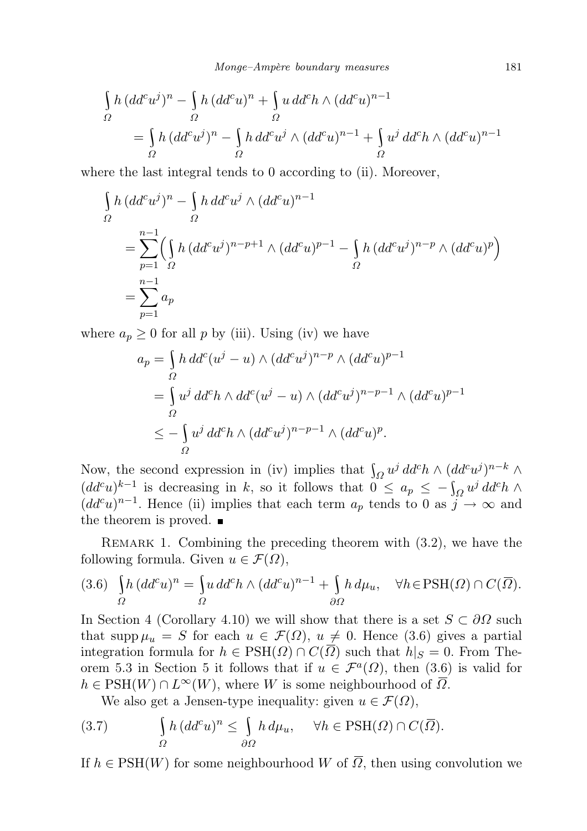$$
\begin{aligned}\n\int_{\Omega} h \, (dd^c u^j)^n - \int_{\Omega} h \, (dd^c u)^n + \int_{\Omega} u \, dd^c h \wedge (dd^c u)^{n-1} \\
= \int_{\Omega} h \, (dd^c u^j)^n - \int_{\Omega} h \, dd^c u^j \wedge (dd^c u)^{n-1} + \int_{\Omega} u^j \, dd^c h \wedge (dd^c u)^{n-1} \\
\end{aligned}
$$

where the last integral tends to 0 according to (ii). Moreover,

$$
\int_{\Omega} h (dd^c u^j)^n - \int_{\Omega} h d d^c u^j \wedge (dd^c u)^{n-1}
$$
\n
$$
= \sum_{p=1}^{n-1} \left( \int_{\Omega} h (dd^c u^j)^{n-p+1} \wedge (dd^c u)^{p-1} - \int_{\Omega} h (dd^c u^j)^{n-p} \wedge (dd^c u)^p \right)
$$
\n
$$
= \sum_{p=1}^{n-1} a_p
$$

where  $a_p \geq 0$  for all p by (iii). Using (iv) we have

$$
a_p = \int_{\Omega} h \, dd^c(u^j - u) \wedge (dd^c u^j)^{n-p} \wedge (dd^c u)^{p-1}
$$
  
= 
$$
\int_{\Omega} u^j \, dd^c h \wedge dd^c(u^j - u) \wedge (dd^c u^j)^{n-p-1} \wedge (dd^c u)^{p-1}
$$
  

$$
\leq -\int_{\Omega} u^j \, dd^c h \wedge (dd^c u^j)^{n-p-1} \wedge (dd^c u)^p.
$$

Now, the second expression in (iv) implies that  $\int_{\Omega} u^j d d^c h \wedge (dd^c u^j)^{n-k} \wedge$  $(dd^c u)^{k-1}$  is decreasing in k, so it follows that  $0 \le a_p \le -\int_{\Omega} u^j d d^c h \wedge$  $(dd^c u)^{n-1}$ . Hence (ii) implies that each term  $a_p$  tends to 0 as  $j \to \infty$  and the theorem is proved.  $\blacksquare$ 

REMARK 1. Combining the preceding theorem with  $(3.2)$ , we have the following formula. Given  $u \in \mathcal{F}(\Omega)$ ,

$$
(3.6)\quad \int_{\Omega} h \, (dd^c u)^n = \int_{\Omega} u \, dd^c h \wedge (dd^c u)^{n-1} + \int_{\partial \Omega} h \, d\mu_u, \quad \forall h \in \text{PSH}(\Omega) \cap C(\overline{\Omega}).
$$

In Section 4 (Corollary 4.10) we will show that there is a set  $S \subset \partial\Omega$  such that supp  $\mu_u = S$  for each  $u \in \mathcal{F}(\Omega)$ ,  $u \neq 0$ . Hence (3.6) gives a partial integration formula for  $h \in \text{PSH}(\Omega) \cap C(\overline{\Omega})$  such that  $h|_S = 0$ . From Theorem 5.3 in Section 5 it follows that if  $u \in \mathcal{F}^a(\Omega)$ , then (3.6) is valid for  $h \in \text{PSH}(W) \cap L^{\infty}(W)$ , where W is some neighbourhood of  $\overline{\Omega}$ .

We also get a Jensen-type inequality: given  $u \in \mathcal{F}(\Omega)$ ,

(3.7) 
$$
\int_{\Omega} h (dd^c u)^n \leq \int_{\partial \Omega} h d\mu_u, \quad \forall h \in \text{PSH}(\Omega) \cap C(\overline{\Omega}).
$$

If  $h \in \text{PSH}(W)$  for some neighbourhood W of  $\overline{\Omega}$ , then using convolution we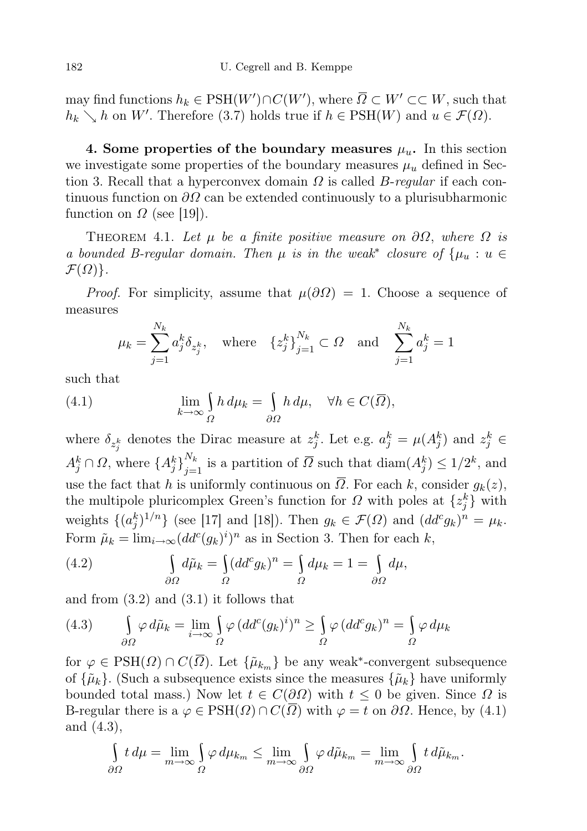may find functions  $h_k \in {\rm PSH}(W') \cap C(W')$ , where  $\overline{\Omega} \subset W' \subset\subset W$ , such that  $h_k \searrow h$  on W'. Therefore (3.7) holds true if  $h \in \text{PSH}(W)$  and  $u \in \mathcal{F}(\Omega)$ .

4. Some properties of the boundary measures  $\mu_u$ . In this section we investigate some properties of the boundary measures  $\mu_u$  defined in Section 3. Recall that a hyperconvex domain  $\Omega$  is called *B-regular* if each continuous function on  $\partial\Omega$  can be extended continuously to a plurisubharmonic function on  $\Omega$  (see [19]).

THEOREM 4.1. Let  $\mu$  be a finite positive measure on  $\partial\Omega$ , where  $\Omega$  is a bounded B-regular domain. Then  $\mu$  is in the weak<sup>\*</sup> closure of  $\{\mu_u : u \in$  $\mathcal{F}(\Omega)$ .

*Proof.* For simplicity, assume that  $\mu(\partial\Omega) = 1$ . Choose a sequence of measures

$$
\mu_k = \sum_{j=1}^{N_k} a_j^k \delta_{z_j^k}
$$
, where  $\{z_j^k\}_{j=1}^{N_k} \subset \Omega$  and  $\sum_{j=1}^{N_k} a_j^k = 1$ 

such that

(4.1) 
$$
\lim_{k \to \infty} \int_{\Omega} h \, d\mu_k = \int_{\partial \Omega} h \, d\mu, \quad \forall h \in C(\overline{\Omega}),
$$

where  $\delta_{z_j^k}$  denotes the Dirac measure at  $z_j^k$ . Let e.g.  $a_j^k = \mu(A_j^k)$  and  $z_j^k \in$  $A_j^k \cap \Omega$ , where  $\{A_j^k\}_{j=1}^{N_k}$  is a partition of  $\overline{\Omega}$  such that  $\text{diam}(A_j^k) \leq 1/2^k$ , and use the fact that h is uniformly continuous on  $\overline{\Omega}$ . For each k, consider  $g_k(z)$ , the multipole pluricomplex Green's function for  $\Omega$  with poles at  $\{z_j^k\}$  with weights  $\{(a_j^k)^{1/n}\}\$  (see [17] and [18]). Then  $g_k \in \mathcal{F}(\Omega)$  and  $(dd^c g_k)^n = \mu_k$ . Form  $\tilde{\mu}_k = \lim_{i \to \infty} (dd^c(g_k)^i)^n$  as in Section 3. Then for each k,

(4.2) 
$$
\int_{\partial \Omega} d\tilde{\mu}_k = \int_{\Omega} (dd^c g_k)^n = \int_{\Omega} d\mu_k = 1 = \int_{\partial \Omega} d\mu,
$$

and from (3.2) and (3.1) it follows that

(4.3) 
$$
\int_{\partial\Omega} \varphi \, d\tilde{\mu}_k = \lim_{i \to \infty} \int_{\Omega} \varphi \, (dd^c(g_k)^i)^n \ge \int_{\Omega} \varphi \, (dd^c g_k)^n = \int_{\Omega} \varphi \, d\mu_k
$$

for  $\varphi \in \text{PSH}(\Omega) \cap C(\overline{\Omega})$ . Let  $\{\tilde{\mu}_{k_m}\}\$ be any weak<sup>\*</sup>-convergent subsequence of  $\{\tilde{\mu}_k\}$ . (Such a subsequence exists since the measures  $\{\tilde{\mu}_k\}$  have uniformly bounded total mass.) Now let  $t \in C(\partial\Omega)$  with  $t \leq 0$  be given. Since  $\Omega$  is B-regular there is a  $\varphi \in \text{PSH}(\Omega) \cap C(\overline{\Omega})$  with  $\varphi = t$  on  $\partial \Omega$ . Hence, by (4.1) and (4.3),

$$
\int_{\partial\Omega} t \, d\mu = \lim_{m \to \infty} \int_{\Omega} \varphi \, d\mu_{k_m} \le \lim_{m \to \infty} \int_{\partial\Omega} \varphi \, d\tilde{\mu}_{k_m} = \lim_{m \to \infty} \int_{\partial\Omega} t \, d\tilde{\mu}_{k_m}.
$$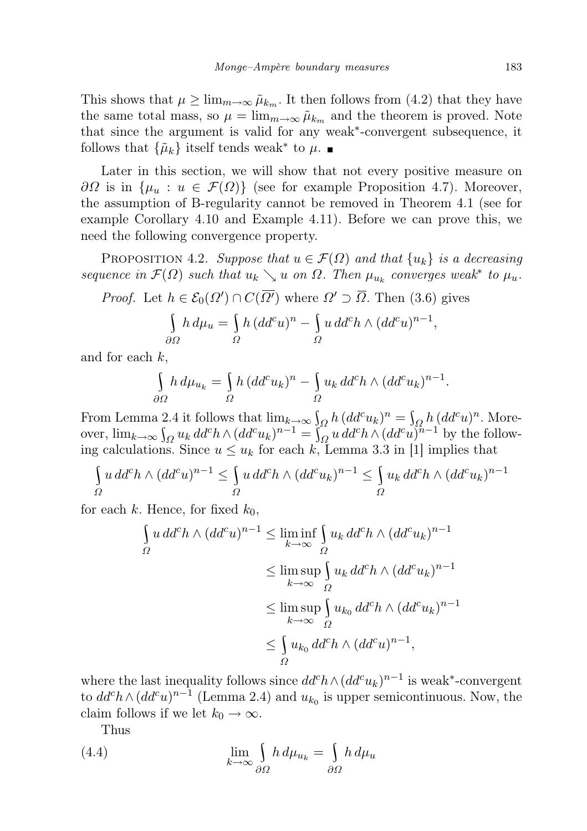This shows that  $\mu \geq \lim_{m \to \infty} \tilde{\mu}_{k_m}$ . It then follows from (4.2) that they have the same total mass, so  $\mu = \lim_{m \to \infty} \tilde{\mu}_{k_m}$  and the theorem is proved. Note that since the argument is valid for any weak<sup>∗</sup> -convergent subsequence, it follows that  $\{\tilde{\mu}_k\}$  itself tends weak<sup>\*</sup> to  $\mu$ .

Later in this section, we will show that not every positive measure on  $\partial\Omega$  is in  $\{\mu_u : u \in \mathcal{F}(\Omega)\}\$  (see for example Proposition 4.7). Moreover, the assumption of B-regularity cannot be removed in Theorem 4.1 (see for example Corollary 4.10 and Example 4.11). Before we can prove this, we need the following convergence property.

PROPOSITION 4.2. Suppose that  $u \in \mathcal{F}(\Omega)$  and that  $\{u_k\}$  is a decreasing sequence in  $\mathcal{F}(\Omega)$  such that  $u_k \searrow u$  on  $\Omega$ . Then  $\mu_{u_k}$  converges weak<sup>\*</sup> to  $\mu_u$ .

*Proof.* Let 
$$
h \in \mathcal{E}_0(\Omega') \cap C(\overline{\Omega'})
$$
 where  $\Omega' \supset \overline{\Omega}$ . Then (3.6) gives

$$
\int_{\partial\Omega} h \, d\mu_u = \int_{\Omega} h \, (dd^c u)^n - \int_{\Omega} u \, dd^c h \wedge (dd^c u)^{n-1},
$$

and for each k,

$$
\int_{\partial\Omega} h \, d\mu_{u_k} = \int_{\Omega} h \, (dd^c u_k)^n - \int_{\Omega} u_k \, dd^c h \wedge (dd^c u_k)^{n-1}.
$$

From Lemma 2.4 it follows that  $\lim_{k\to\infty} \int_{\Omega} h (dd^c u_k)^n = \int_{\Omega} h (dd^c u)^n$ . Moreover,  $\lim_{k\to\infty} \int_{\Omega} u_k \, dd^c h \wedge (dd^c u_k)^{n-1} = \int_{\Omega}^{\infty} u \, dd^c h \wedge (dd^c u_k)^{n-1}$  by the following calculations. Since  $u \leq u_k$  for each k, Lemma 3.3 in [1] implies that

$$
\int_{\Omega} u \, dd^c h \wedge (dd^c u)^{n-1} \leq \int_{\Omega} u \, dd^c h \wedge (dd^c u_k)^{n-1} \leq \int_{\Omega} u_k \, dd^c h \wedge (dd^c u_k)^{n-1}
$$

for each k. Hence, for fixed  $k_0$ ,

$$
\int_{\Omega} u \, dd^c h \wedge (dd^c u)^{n-1} \le \liminf_{k \to \infty} \int_{\Omega} u_k \, dd^c h \wedge (dd^c u_k)^{n-1}
$$

$$
\le \limsup_{k \to \infty} \int_{\Omega} u_k \, dd^c h \wedge (dd^c u_k)^{n-1}
$$

$$
\le \limsup_{k \to \infty} \int_{\Omega} u_{k_0} \, dd^c h \wedge (dd^c u_k)^{n-1}
$$

$$
\le \int_{\Omega} u_{k_0} \, dd^c h \wedge (dd^c u)^{n-1},
$$

where the last inequality follows since  $dd^ch \wedge (dd^c u_k)^{n-1}$  is weak<sup>\*</sup>-convergent to  $dd^c h \wedge (dd^c u)^{n-1}$  (Lemma 2.4) and  $u_{k_0}$  is upper semicontinuous. Now, the claim follows if we let  $k_0 \to \infty$ .

Thus

(4.4) 
$$
\lim_{k \to \infty} \int_{\partial \Omega} h \, d\mu_{u_k} = \int_{\partial \Omega} h \, d\mu_u
$$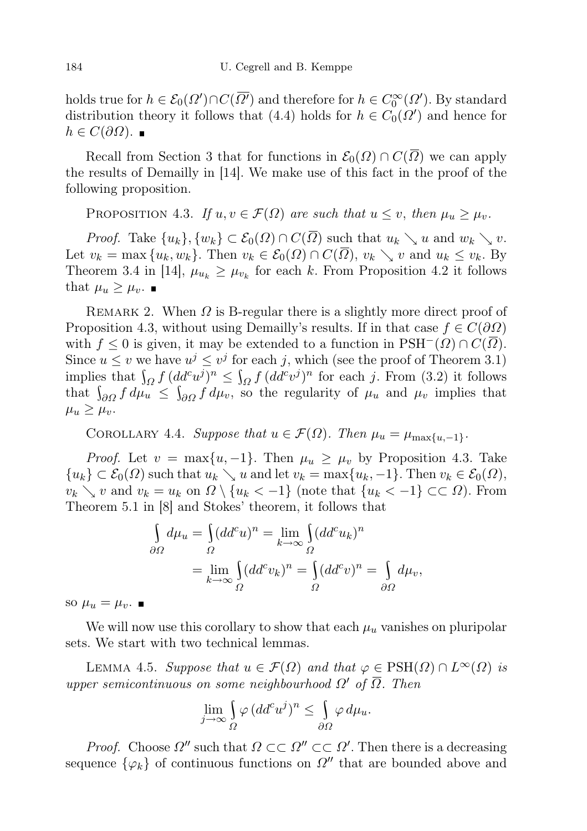holds true for  $h \in \mathcal{E}_0(\Omega') \cap C(\overline{\Omega'})$  and therefore for  $h \in C_0^{\infty}(\Omega')$ . By standard distribution theory it follows that (4.4) holds for  $h \in C_0(\Omega')$  and hence for  $h \in C(\partial\Omega)$ .

Recall from Section 3 that for functions in  $\mathcal{E}_0(\Omega) \cap C(\overline{\Omega})$  we can apply the results of Demailly in [14]. We make use of this fact in the proof of the following proposition.

PROPOSITION 4.3. If  $u, v \in \mathcal{F}(\Omega)$  are such that  $u \leq v$ , then  $\mu_u \geq \mu_v$ .

*Proof.* Take  $\{u_k\}, \{w_k\} \subset \mathcal{E}_0(\Omega) \cap C(\overline{\Omega})$  such that  $u_k \searrow u$  and  $w_k \searrow v$ . Let  $v_k = \max\{u_k, w_k\}$ . Then  $v_k \in \mathcal{E}_0(\Omega) \cap C(\overline{\Omega}), v_k \searrow v$  and  $u_k \leq v_k$ . By Theorem 3.4 in [14],  $\mu_{u_k} \geq \mu_{v_k}$  for each k. From Proposition 4.2 it follows that  $\mu_u \geq \mu_v$ .

REMARK 2. When  $\Omega$  is B-regular there is a slightly more direct proof of Proposition 4.3, without using Demailly's results. If in that case  $f \in C(\partial\Omega)$ with  $f \leq 0$  is given, it may be extended to a function in  $\text{PSH}^-(\Omega) \cap C(\overline{\Omega})$ . Since  $u \leq v$  we have  $u^j \leq v^j$  for each j, which (see the proof of Theorem 3.1) implies that  $\int_{\Omega} f (dd^c u^j)^n \leq \int_{\Omega} f (dd^c v^j)^n$  for each j. From (3.2) it follows that  $\int_{\partial\Omega} f d\mu_u \leq \int_{\partial\Omega} f d\mu_v$ , so the regularity of  $\mu_u$  and  $\mu_v$  implies that  $\mu_u \geq \mu_v$ .

COROLLARY 4.4. Suppose that  $u \in \mathcal{F}(\Omega)$ . Then  $\mu_u = \mu_{\max\{u,-1\}}$ .

*Proof.* Let  $v = \max\{u, -1\}$ . Then  $\mu_u \geq \mu_v$  by Proposition 4.3. Take  ${u_k} \subset \mathcal{E}_0(\Omega)$  such that  $u_k \searrow u$  and let  $v_k = \max\{u_k, -1\}$ . Then  $v_k \in \mathcal{E}_0(\Omega)$ ,  $v_k \searrow v$  and  $v_k = u_k$  on  $\Omega \setminus \{u_k < -1\}$  (note that  $\{u_k < -1\} \subset \subset \Omega$ ). From Theorem 5.1 in [8] and Stokes' theorem, it follows that

$$
\int_{\partial\Omega} d\mu_u = \int_{\Omega} (dd^c u)^n = \lim_{k \to \infty} \int_{\Omega} (dd^c u_k)^n
$$

$$
= \lim_{k \to \infty} \int_{\Omega} (dd^c v_k)^n = \int_{\Omega} (dd^c v)^n = \int_{\partial\Omega} d\mu_v,
$$

so  $\mu_u = \mu_v$ .

We will now use this corollary to show that each  $\mu_u$  vanishes on pluripolar sets. We start with two technical lemmas.

LEMMA 4.5. Suppose that  $u \in \mathcal{F}(\Omega)$  and that  $\varphi \in \text{PSH}(\Omega) \cap L^{\infty}(\Omega)$  is upper semicontinuous on some neighbourhood  $\Omega'$  of  $\Omega$ . Then

$$
\lim_{j \to \infty} \int_{\Omega} \varphi (dd^c u^j)^n \le \int_{\partial \Omega} \varphi \, d\mu_u.
$$

*Proof.* Choose  $\Omega''$  such that  $\Omega \subset\subset \Omega'' \subset\subset \Omega'$ . Then there is a decreasing sequence  $\{\varphi_k\}$  of continuous functions on  $\Omega''$  that are bounded above and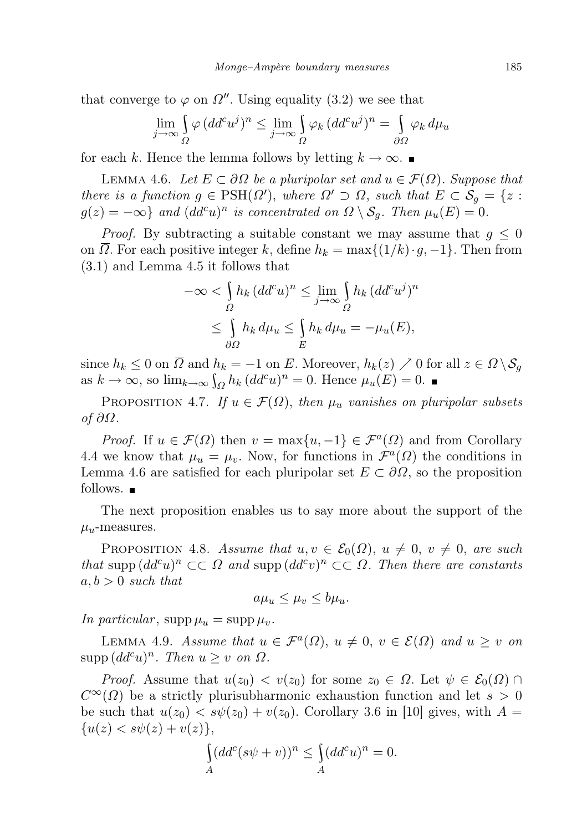that converge to  $\varphi$  on  $\Omega''$ . Using equality (3.2) we see that

$$
\lim_{j \to \infty} \int_{\Omega} \varphi (dd^c u^j)^n \le \lim_{j \to \infty} \int_{\Omega} \varphi_k (dd^c u^j)^n = \int_{\partial \Omega} \varphi_k d\mu_u
$$

for each k. Hence the lemma follows by letting  $k \to \infty$ .

LEMMA 4.6. Let  $E \subset \partial \Omega$  be a pluripolar set and  $u \in \mathcal{F}(\Omega)$ . Suppose that there is a function  $g \in \text{PSH}(\Omega')$ , where  $\Omega' \supset \Omega$ , such that  $E \subset \mathcal{S}_g = \{z :$  $g(z) = -\infty$ } and  $(dd^c u)^n$  is concentrated on  $\Omega \setminus \mathcal{S}_g$ . Then  $\mu_u(E) = 0$ .

*Proof.* By subtracting a suitable constant we may assume that  $g \leq 0$ on  $\Omega$ . For each positive integer k, define  $h_k = \max\{(1/k) \cdot g, -1\}$ . Then from (3.1) and Lemma 4.5 it follows that

$$
-\infty < \int_{\Omega} h_k (dd^c u)^n \le \lim_{j \to \infty} \int_{\Omega} h_k (dd^c u^j)^n
$$
  

$$
\le \int_{\partial \Omega} h_k d\mu_u \le \int_E h_k d\mu_u = -\mu_u(E),
$$

since  $h_k \leq 0$  on  $\overline{\Omega}$  and  $h_k = -1$  on E. Moreover,  $h_k(z) \nearrow 0$  for all  $z \in \Omega \setminus \mathcal{S}_g$ as  $k \to \infty$ , so  $\lim_{k \to \infty} \int_{\Omega} h_k (dd^c u)^n = 0$ . Hence  $\mu_u(E) = 0$ .

PROPOSITION 4.7. If  $u \in \mathcal{F}(\Omega)$ , then  $\mu_u$  vanishes on pluripolar subsets of ∂Ω.

*Proof.* If  $u \in \mathcal{F}(\Omega)$  then  $v = \max\{u, -1\} \in \mathcal{F}^a(\Omega)$  and from Corollary 4.4 we know that  $\mu_u = \mu_v$ . Now, for functions in  $\mathcal{F}^a(\Omega)$  the conditions in Lemma 4.6 are satisfied for each pluripolar set  $E \subset \partial\Omega$ , so the proposition follows.  $\blacksquare$ 

The next proposition enables us to say more about the support of the  $\mu_u$ -measures.

PROPOSITION 4.8. Assume that  $u, v \in \mathcal{E}_0(\Omega)$ ,  $u \neq 0$ ,  $v \neq 0$ , are such that supp  $(dd^c u)^n\subset\subset\Omega$  and supp  $(dd^c v)^n\subset\subset\Omega$ . Then there are constants  $a, b > 0$  such that

$$
a\mu_u \le \mu_v \le b\mu_u.
$$

In particular,  $\sup p \mu_u = \sup p \mu_v$ .

LEMMA 4.9. Assume that  $u \in \mathcal{F}^a(\Omega)$ ,  $u \neq 0$ ,  $v \in \mathcal{E}(\Omega)$  and  $u \geq v$  on  $\text{supp}\,(dd^c u)^n$ . Then  $u \geq v$  on  $\Omega$ .

*Proof.* Assume that  $u(z_0) < v(z_0)$  for some  $z_0 \in \Omega$ . Let  $\psi \in \mathcal{E}_0(\Omega) \cap$  $C^{\infty}(\Omega)$  be a strictly plurisubharmonic exhaustion function and let  $s > 0$ be such that  $u(z_0) < s\psi(z_0) + v(z_0)$ . Corollary 3.6 in [10] gives, with  $A =$  ${u(z) < s\psi(z) + v(z)},$ 

$$
\int_A (dd^c (s\psi + v))^n \le \int_A (dd^c u)^n = 0.
$$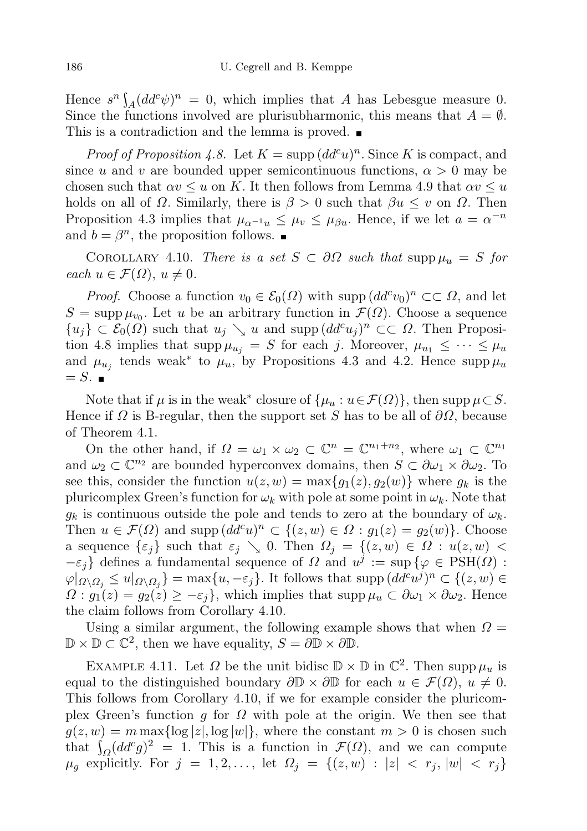Hence  $s^n \int_A (dd^c \psi)^n = 0$ , which implies that A has Lebesgue measure 0. Since the functions involved are plurisubharmonic, this means that  $A = \emptyset$ . This is a contradiction and the lemma is proved.

*Proof of Proposition 4.8.* Let  $K = \text{supp} (dd^c u)^n$ . Since K is compact, and since u and v are bounded upper semicontinuous functions,  $\alpha > 0$  may be chosen such that  $\alpha v \leq u$  on K. It then follows from Lemma 4.9 that  $\alpha v \leq u$ holds on all of  $\Omega$ . Similarly, there is  $\beta > 0$  such that  $\beta u \leq v$  on  $\Omega$ . Then Proposition 4.3 implies that  $\mu_{\alpha^{-1}u} \leq \mu_v \leq \mu_{\beta u}$ . Hence, if we let  $a = \alpha^{-n}$ and  $b = \beta^n$ , the proposition follows.

COROLLARY 4.10. There is a set  $S \subset \partial \Omega$  such that supp  $\mu_u = S$  for each  $u \in \mathcal{F}(\Omega)$ ,  $u \neq 0$ .

*Proof.* Choose a function  $v_0 \in \mathcal{E}_0(\Omega)$  with supp  $(dd^c v_0)^n \subset \subset \Omega$ , and let  $S = \text{supp}\,\mu_{v_0}$ . Let u be an arbitrary function in  $\mathcal{F}(\Omega)$ . Choose a sequence  $\{u_j\} \subset \mathcal{E}_0(\Omega)$  such that  $u_j \searrow u$  and supp  $(dd^c u_j)^n \subset\subset \Omega$ . Then Proposition 4.8 implies that  $\text{supp }\mu_{u_i} = S$  for each j. Moreover,  $\mu_{u_1} \leq \cdots \leq \mu_u$ and  $\mu_{u_j}$  tends weak<sup>\*</sup> to  $\mu_u$ , by Propositions 4.3 and 4.2. Hence supp  $\mu_u$  $= S.$ 

Note that if  $\mu$  is in the weak<sup>\*</sup> closure of  $\{\mu_u : u \in \mathcal{F}(\Omega)\}\)$ , then supp  $\mu \subset S$ . Hence if  $\Omega$  is B-regular, then the support set S has to be all of  $\partial\Omega$ , because of Theorem 4.1.

On the other hand, if  $\Omega = \omega_1 \times \omega_2 \subset \mathbb{C}^n = \mathbb{C}^{n_1+n_2}$ , where  $\omega_1 \subset \mathbb{C}^{n_1}$ and  $\omega_2 \subset \mathbb{C}^{n_2}$  are bounded hyperconvex domains, then  $S \subset \partial \omega_1 \times \partial \omega_2$ . To see this, consider the function  $u(z, w) = \max\{g_1(z), g_2(w)\}\$  where  $g_k$  is the pluricomplex Green's function for  $\omega_k$  with pole at some point in  $\omega_k$ . Note that  $g_k$  is continuous outside the pole and tends to zero at the boundary of  $\omega_k$ . Then  $u \in \mathcal{F}(\Omega)$  and supp  $(dd^c u)^n \subset \{(z,w) \in \Omega : g_1(z) = g_2(w)\}.$  Choose a sequence  $\{\varepsilon_j\}$  such that  $\varepsilon_j \searrow 0$ . Then  $\Omega_j = \{(z, w) \in \Omega : u(z, w)$  $-\varepsilon_j$ } defines a fundamental sequence of  $\Omega$  and  $u^j := \sup \{ \varphi \in \text{PSH}(\Omega) \}$  $\varphi|_{\Omega\setminus\Omega_j}\leq u|_{\Omega\setminus\Omega_j}\}=\max\{u,-\varepsilon_j\}.$  It follows that  $\text{supp } (dd^c u^j)^n\subset\{(z,w)\in\Omega_j\}$  $\Omega$ :  $g_1(z) = g_2(z) \geq -\varepsilon_j$ , which implies that supp  $\mu_u \subset \partial \omega_1 \times \partial \omega_2$ . Hence the claim follows from Corollary 4.10.

Using a similar argument, the following example shows that when  $\Omega =$  $\mathbb{D} \times \mathbb{D} \subset \mathbb{C}^2$ , then we have equality,  $S = \partial \mathbb{D} \times \partial \mathbb{D}$ .

EXAMPLE 4.11. Let  $\Omega$  be the unit bidisc  $\mathbb{D} \times \mathbb{D}$  in  $\mathbb{C}^2$ . Then supp  $\mu_u$  is equal to the distinguished boundary  $\partial \mathbb{D} \times \partial \mathbb{D}$  for each  $u \in \mathcal{F}(\Omega)$ ,  $u \neq 0$ . This follows from Corollary 4.10, if we for example consider the pluricomplex Green's function q for  $\Omega$  with pole at the origin. We then see that  $g(z, w) = m \max\{\log |z|, \log |w|\}$ , where the constant  $m > 0$  is chosen such that  $\int_{\Omega} (dd^c g)^2 = 1$ . This is a function in  $\mathcal{F}(\Omega)$ , and we can compute  $\mu_g$  explicitly. For  $j = 1, 2, ...,$  let  $\Omega_j = \{(z, w) : |z| < r_j, |w| < r_j\}$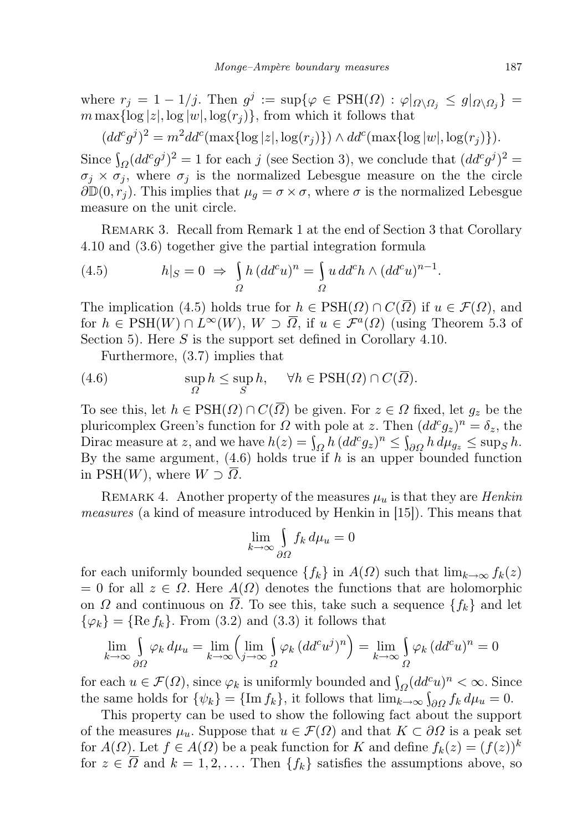where  $r_j = 1 - 1/j$ . Then  $g^j := \sup\{\varphi \in \text{PSH}(\Omega) : \varphi|_{\Omega \setminus \Omega_j} \le g|_{\Omega \setminus \Omega_j}\}$  $m \max\{\log |z|, \log |w|, \log(r_i)\}\)$ , from which it follows that

 $(dd^c g^j)^2 = m^2 dd^c(\max\{\log|z|,\log(r_j)\}) \wedge dd^c(\max\{\log|w|,\log(r_j)\}).$ 

Since  $\int_{\Omega} (dd^c g^j)^2 = 1$  for each j (see Section 3), we conclude that  $(dd^c g^j)^2 =$  $\sigma_i \times \sigma_j$ , where  $\sigma_j$  is the normalized Lebesgue measure on the the circle  $\partial \mathbb{D}(0, r_j)$ . This implies that  $\mu_g = \sigma \times \sigma$ , where  $\sigma$  is the normalized Lebesgue measure on the unit circle.

Remark 3. Recall from Remark 1 at the end of Section 3 that Corollary 4.10 and (3.6) together give the partial integration formula

(4.5) 
$$
h|_{S} = 0 \Rightarrow \int_{\Omega} h (dd^{c} u)^{n} = \int_{\Omega} u d d^{c} h \wedge (dd^{c} u)^{n-1}.
$$

The implication (4.5) holds true for  $h \in \text{PSH}(\Omega) \cap C(\Omega)$  if  $u \in \mathcal{F}(\Omega)$ , and for  $h \in \text{PSH}(W) \cap L^{\infty}(W)$ ,  $W \supset \overline{\Omega}$ , if  $u \in \mathcal{F}^a(\Omega)$  (using Theorem 5.3 of Section 5). Here  $S$  is the support set defined in Corollary 4.10.

Furthermore, (3.7) implies that

(4.6) 
$$
\sup_{\Omega} h \leq \sup_{S} h, \quad \forall h \in \text{PSH}(\Omega) \cap C(\overline{\Omega}).
$$

To see this, let  $h \in \text{PSH}(\Omega) \cap C(\overline{\Omega})$  be given. For  $z \in \Omega$  fixed, let  $g_z$  be the pluricomplex Green's function for  $\Omega$  with pole at z. Then  $(dd^c g_z)^n = \delta_z$ , the Dirac measure at z, and we have  $h(z) = \int_{\Omega} h (dd^c g_z)^n \leq \int_{\partial \Omega} h d\mu_{g_z} \leq \sup_S h$ . By the same argument,  $(4.6)$  holds true if h is an upper bounded function in PSH $(W)$ , where  $W \supset \Omega$ .

REMARK 4. Another property of the measures  $\mu_u$  is that they are *Henkin* measures (a kind of measure introduced by Henkin in [15]). This means that

$$
\lim_{k \to \infty} \int_{\partial \Omega} f_k \, d\mu_u = 0
$$

for each uniformly bounded sequence  $\{f_k\}$  in  $A(\Omega)$  such that  $\lim_{k\to\infty} f_k(z)$ = 0 for all  $z \in \Omega$ . Here  $A(\Omega)$  denotes the functions that are holomorphic on  $\Omega$  and continuous on  $\overline{\Omega}$ . To see this, take such a sequence  $\{f_k\}$  and let  $\{\varphi_k\} = \{\text{Re } f_k\}.$  From (3.2) and (3.3) it follows that

$$
\lim_{k \to \infty} \int_{\partial \Omega} \varphi_k d\mu_u = \lim_{k \to \infty} \left( \lim_{j \to \infty} \int_{\Omega} \varphi_k (dd^c u^j)^n \right) = \lim_{k \to \infty} \int_{\Omega} \varphi_k (dd^c u)^n = 0
$$

for each  $u \in \mathcal{F}(\Omega)$ , since  $\varphi_k$  is uniformly bounded and  $\int_{\Omega} (dd^c u)^n < \infty$ . Since the same holds for  $\{\psi_k\} = \{\text{Im } f_k\}$ , it follows that  $\lim_{k\to\infty} \int_{\partial\Omega} f_k d\mu_u = 0$ .

This property can be used to show the following fact about the support of the measures  $\mu_u$ . Suppose that  $u \in \mathcal{F}(\Omega)$  and that  $K \subset \partial \Omega$  is a peak set for  $A(\Omega)$ . Let  $f \in A(\Omega)$  be a peak function for K and define  $f_k(z) = (f(z))^k$ for  $z \in \overline{\Omega}$  and  $k = 1, 2, \ldots$  Then  $\{f_k\}$  satisfies the assumptions above, so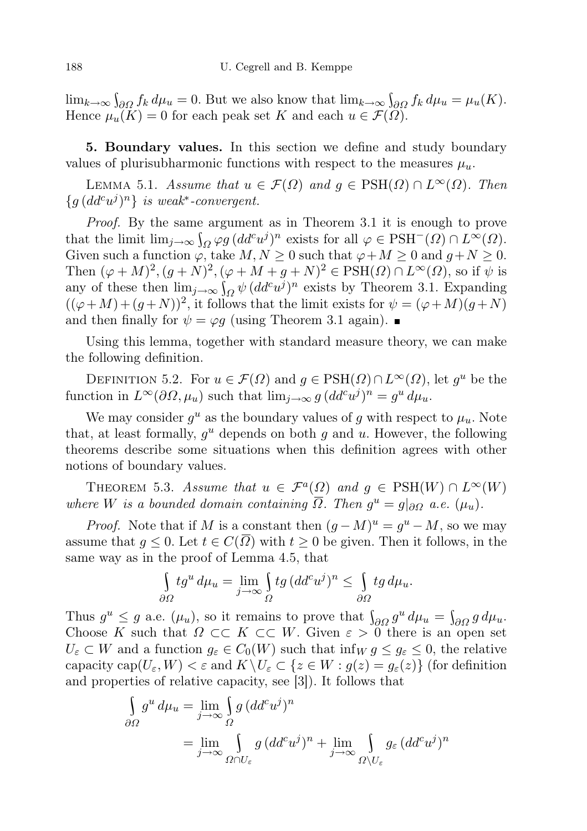$\lim_{k\to\infty} \int_{\partial\Omega} f_k d\mu_u = 0.$  But we also know that  $\lim_{k\to\infty} \int_{\partial\Omega} f_k d\mu_u = \mu_u(K)$ . Hence  $\mu_u(K) = 0$  for each peak set K and each  $u \in \mathcal{F}(\Omega)$ .

5. Boundary values. In this section we define and study boundary values of plurisubharmonic functions with respect to the measures  $\mu_u$ .

LEMMA 5.1. Assume that  $u \in \mathcal{F}(\Omega)$  and  $g \in \text{PSH}(\Omega) \cap L^{\infty}(\Omega)$ . Then  ${g (dd<sup>c</sup>u<sup>j</sup>)<sup>n</sup>}$  is weak<sup>\*</sup>-convergent.

Proof. By the same argument as in Theorem 3.1 it is enough to prove that the limit  $\lim_{j\to\infty} \int_{\Omega} \varphi g (dd^c u^j)^n$  exists for all  $\varphi \in \text{PSH}^-(\Omega) \cap L^{\infty}(\Omega)$ . Given such a function  $\varphi$ , take  $M, N \geq 0$  such that  $\varphi + M \geq 0$  and  $g + N \geq 0$ . Then  $(\varphi + M)^2$ ,  $(g + N)^2$ ,  $(\varphi + M + g + N)^2 \in \text{PSH}(\Omega) \cap L^{\infty}(\Omega)$ , so if  $\psi$  is any of these then  $\lim_{j\to\infty} \int_{\Omega} \psi (dd^c u^j)^n$  exists by Theorem 3.1. Expanding  $((\varphi + M) + (g + N))^2$ , it follows that the limit exists for  $\psi = (\varphi + M)(g + N)$ and then finally for  $\psi = \varphi g$  (using Theorem 3.1 again).

Using this lemma, together with standard measure theory, we can make the following definition.

DEFINITION 5.2. For  $u \in \mathcal{F}(\Omega)$  and  $g \in \text{PSH}(\Omega) \cap L^{\infty}(\Omega)$ , let  $g^u$  be the function in  $L^{\infty}(\partial\Omega, \mu_u)$  such that  $\lim_{j\to\infty} g\,(dd^c u^j)^n = g^u d\mu_u$ .

We may consider  $g^u$  as the boundary values of g with respect to  $\mu_u$ . Note that, at least formally,  $g^u$  depends on both g and u. However, the following theorems describe some situations when this definition agrees with other notions of boundary values.

THEOREM 5.3. Assume that  $u \in \mathcal{F}^a(\Omega)$  and  $g \in \text{PSH}(W) \cap L^{\infty}(W)$ where W is a bounded domain containing  $\overline{\Omega}$ . Then  $g^u = g|_{\partial\Omega}$  a.e.  $(\mu_u)$ .

*Proof.* Note that if M is a constant then  $(g-M)^u = g^u - M$ , so we may assume that  $q \leq 0$ . Let  $t \in C(\overline{\Omega})$  with  $t \geq 0$  be given. Then it follows, in the same way as in the proof of Lemma 4.5, that

$$
\int_{\partial\Omega} t g^u \, d\mu_u = \lim_{j \to \infty} \int_{\Omega} t g \, (dd^c u^j)^n \le \int_{\partial\Omega} t g \, d\mu_u.
$$

Thus  $g^u \leq g$  a.e.  $(\mu_u)$ , so it remains to prove that  $\int_{\partial\Omega} g^u d\mu_u = \int_{\partial\Omega} g d\mu_u$ . Choose K such that  $\Omega \subset\subset K \subset\subset W$ . Given  $\varepsilon > 0$  there is an open set  $U_{\varepsilon} \subset W$  and a function  $g_{\varepsilon} \in C_0(W)$  such that inf $W g \leq g_{\varepsilon} \leq 0$ , the relative capacity cap $(U_{\varepsilon}, W) < \varepsilon$  and  $K \setminus U_{\varepsilon} \subset \{z \in W : g(z) = g_{\varepsilon}(z)\}\$  (for definition and properties of relative capacity, see [3]). It follows that

$$
\int_{\partial\Omega} g^u d\mu_u = \lim_{j \to \infty} \int_{\Omega} g (dd^c u^j)^n
$$
  
= 
$$
\lim_{j \to \infty} \int_{\Omega \cap U_{\varepsilon}} g (dd^c u^j)^n + \lim_{j \to \infty} \int_{\Omega \setminus U_{\varepsilon}} g_{\varepsilon} (dd^c u^j)^n
$$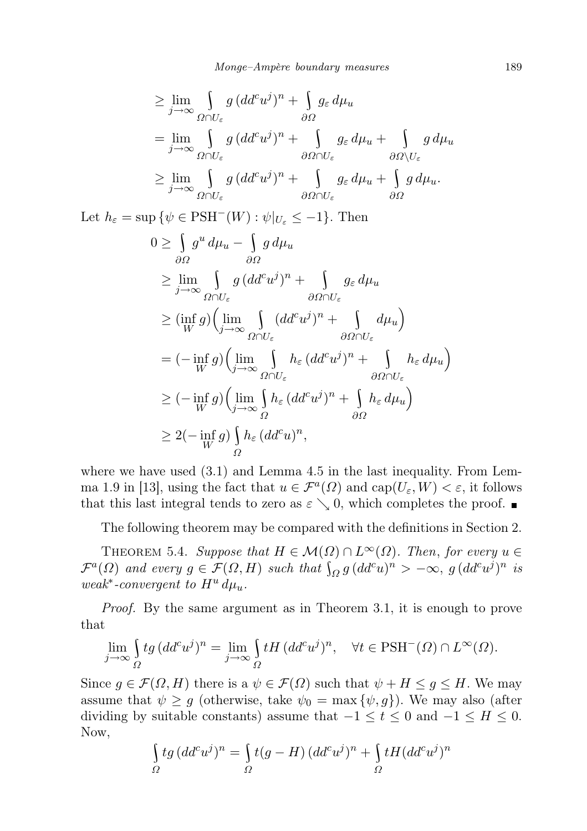$$
\geq \lim_{j \to \infty} \int_{\Omega \cap U_{\varepsilon}} g \, (dd^c u^j)^n + \int_{\partial \Omega} g_{\varepsilon} \, d\mu_u
$$
  
\n
$$
= \lim_{j \to \infty} \int_{\Omega \cap U_{\varepsilon}} g \, (dd^c u^j)^n + \int_{\partial \Omega \cap U_{\varepsilon}} g_{\varepsilon} \, d\mu_u + \int_{\partial \Omega \setminus U_{\varepsilon}} g \, d\mu_u
$$
  
\n
$$
\geq \lim_{j \to \infty} \int_{\Omega \cap U_{\varepsilon}} g \, (dd^c u^j)^n + \int_{\partial \Omega \cap U_{\varepsilon}} g_{\varepsilon} \, d\mu_u + \int_{\partial \Omega} g \, d\mu_u.
$$

Let  $h_{\varepsilon} = \sup \{ \psi \in \text{PSH}^{-}(W) : \psi|_{U_{\varepsilon}} \leq -1 \}.$  Then

$$
0 \geq \int_{\partial \Omega} g^u d\mu_u - \int_{\partial \Omega} g d\mu_u
$$
  
\n
$$
\geq \lim_{j \to \infty} \int_{\Omega \cap U_{\varepsilon}} g (dd^c u^j)^n + \int_{\partial \Omega \cap U_{\varepsilon}} g_{\varepsilon} d\mu_u
$$
  
\n
$$
\geq (\inf_W g) (\lim_{j \to \infty} \int_{\Omega \cap U_{\varepsilon}} (dd^c u^j)^n + \int_{\partial \Omega \cap U_{\varepsilon}} d\mu_u)
$$
  
\n
$$
= (- \inf_W g) (\lim_{j \to \infty} \int_{\Omega \cap U_{\varepsilon}} h_{\varepsilon} (dd^c u^j)^n + \int_{\partial \Omega \cap U_{\varepsilon}} h_{\varepsilon} d\mu_u)
$$
  
\n
$$
\geq (- \inf_W g) (\lim_{j \to \infty} \int_{\Omega} h_{\varepsilon} (dd^c u^j)^n + \int_{\partial \Omega} h_{\varepsilon} d\mu_u)
$$
  
\n
$$
\geq 2(- \inf_W g) \int_{\Omega} h_{\varepsilon} (dd^c u)^n,
$$

where we have used (3.1) and Lemma 4.5 in the last inequality. From Lemma 1.9 in [13], using the fact that  $u \in \mathcal{F}^a(\Omega)$  and  $cap(U_\varepsilon, W) < \varepsilon$ , it follows that this last integral tends to zero as  $\varepsilon \setminus 0$ , which completes the proof.

The following theorem may be compared with the definitions in Section 2.

THEOREM 5.4. Suppose that  $H \in \mathcal{M}(\Omega) \cap L^{\infty}(\Omega)$ . Then, for every  $u \in$  $\mathcal{F}^a(\Omega)$  and every  $g \in \mathcal{F}(\Omega, H)$  such that  $\int_{\Omega} g (dd^c u)^n > -\infty$ ,  $g (dd^c u^j)^n$  is weak<sup>\*</sup>-convergent to  $H^u d\mu_u$ .

*Proof.* By the same argument as in Theorem 3.1, it is enough to prove that

$$
\lim_{j \to \infty} \int_{\Omega} t g \, (dd^c u^j)^n = \lim_{j \to \infty} \int_{\Omega} t H \, (dd^c u^j)^n, \quad \forall t \in \text{PSH}^-(\Omega) \cap L^{\infty}(\Omega).
$$

Since  $g \in \mathcal{F}(\Omega, H)$  there is a  $\psi \in \mathcal{F}(\Omega)$  such that  $\psi + H \leq g \leq H$ . We may assume that  $\psi \geq g$  (otherwise, take  $\psi_0 = \max{\{\psi, g\}}$ ). We may also (after dividing by suitable constants) assume that  $-1 \le t \le 0$  and  $-1 \le H \le 0$ . Now,

$$
\int_{\Omega} t g \, (dd^c u^j)^n = \int_{\Omega} t (g - H) \, (dd^c u^j)^n + \int_{\Omega} t H (dd^c u^j)^n
$$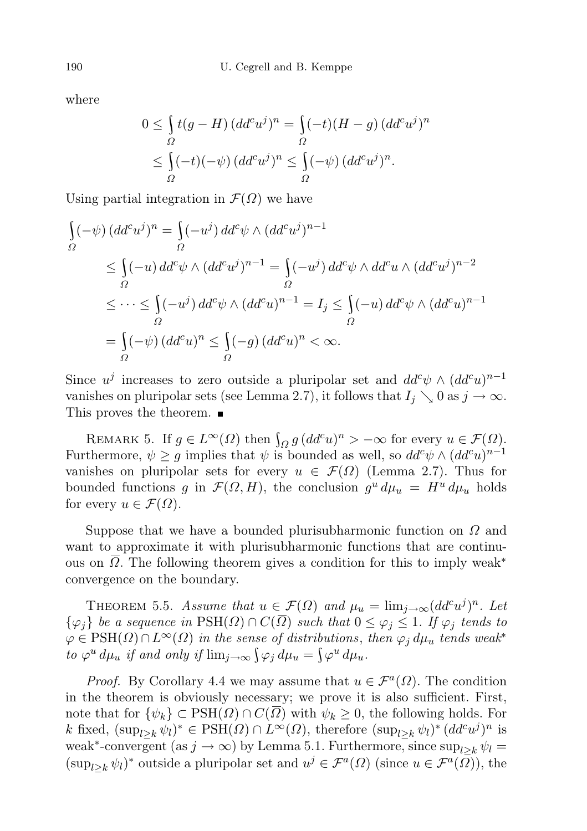where

$$
0 \leq \int_{\Omega} t(g - H) (dd^c u^j)^n = \int_{\Omega} (-t)(H - g) (dd^c u^j)^n
$$
  

$$
\leq \int_{\Omega} (-t)(-\psi) (dd^c u^j)^n \leq \int_{\Omega} (-\psi) (dd^c u^j)^n.
$$

Using partial integration in  $\mathcal{F}(\Omega)$  we have

$$
\begin{aligned}\n\int_{\Omega} (-\psi) (dd^c u^j)^n &= \int_{\Omega} (-u^j) \, dd^c \psi \wedge (dd^c u^j)^{n-1} \\
&\leq \int_{\Omega} (-u) \, dd^c \psi \wedge (dd^c u^j)^{n-1} = \int_{\Omega} (-u^j) \, dd^c \psi \wedge dd^c u \wedge (dd^c u^j)^{n-2} \\
&\leq \dots \leq \int_{\Omega} (-u^j) \, dd^c \psi \wedge (dd^c u)^{n-1} = I_j \leq \int_{\Omega} (-u) \, dd^c \psi \wedge (dd^c u)^{n-1} \\
&= \int_{\Omega} (-\psi) \, (dd^c u)^n \leq \int_{\Omega} (-g) \, (dd^c u)^n < \infty.\n\end{aligned}
$$

Since  $u^j$  increases to zero outside a pluripolar set and  $dd^c \psi \wedge (dd^c u)^{n-1}$ vanishes on pluripolar sets (see Lemma 2.7), it follows that  $I_j \searrow 0$  as  $j \to \infty$ . This proves the theorem.

REMARK 5. If  $g \in L^{\infty}(\Omega)$  then  $\int_{\Omega} g (dd^c u)^n > -\infty$  for every  $u \in \mathcal{F}(\Omega)$ . Furthermore,  $\psi \geq g$  implies that  $\psi$  is bounded as well, so  $dd^c \psi \wedge (dd^c u)^{n-1}$ vanishes on pluripolar sets for every  $u \in \mathcal{F}(\Omega)$  (Lemma 2.7). Thus for bounded functions g in  $\mathcal{F}(\Omega, H)$ , the conclusion  $g^u d\mu_u = H^u d\mu_u$  holds for every  $u \in \mathcal{F}(\Omega)$ .

Suppose that we have a bounded plurisubharmonic function on  $\Omega$  and want to approximate it with plurisubharmonic functions that are continuous on  $\Omega$ . The following theorem gives a condition for this to imply weak<sup>\*</sup> convergence on the boundary.

THEOREM 5.5. Assume that  $u \in \mathcal{F}(\Omega)$  and  $\mu_u = \lim_{j \to \infty} (dd^c u^j)^n$ . Let  $\{\varphi_i\}$  be a sequence in  $\text{PSH}(\Omega) \cap C(\overline{\Omega})$  such that  $0 \leq \varphi_i \leq 1$ . If  $\varphi_i$  tends to  $\varphi \in \text{PSH}(\Omega) \cap L^{\infty}(\Omega)$  in the sense of distributions, then  $\varphi_i d\mu_u$  tends weak<sup>\*</sup> to  $\varphi^u d\mu_u$  if and only if  $\lim_{j\to\infty} \int \varphi_j d\mu_u = \int \varphi^u d\mu_u$ .

*Proof.* By Corollary 4.4 we may assume that  $u \in \mathcal{F}^a(\Omega)$ . The condition in the theorem is obviously necessary; we prove it is also sufficient. First, note that for  $\{\psi_k\} \subset \text{PSH}(\Omega) \cap C(\overline{\Omega})$  with  $\psi_k \geq 0$ , the following holds. For k fixed,  $(\sup_{l\geq k}\psi_l)^* \in \text{PSH}(\Omega) \cap L^{\infty}(\Omega)$ , therefore  $(\sup_{l\geq k}\psi_l)^* (dd^c u^j)^n$  is weak<sup>\*</sup>-convergent (as  $j \to \infty$ ) by Lemma 5.1. Furthermore, since  $\sup_{l \geq k} \psi_l =$  $(\sup_{l\geq k}\psi_l)^*$  outside a pluripolar set and  $u^j\in\mathcal{F}^a(\Omega)$  (since  $u\in\mathcal{F}^a(\overline{\Omega})$ ), the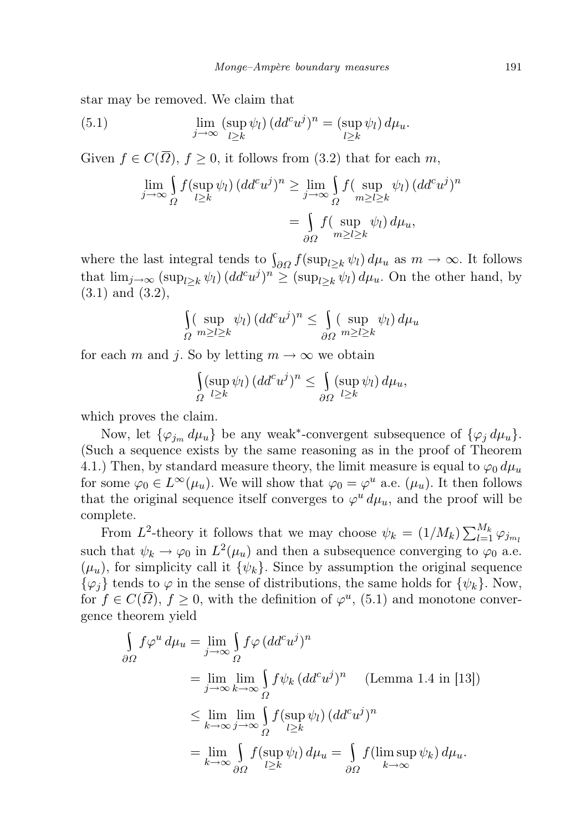star may be removed. We claim that

(5.1) 
$$
\lim_{j \to \infty} (\sup_{l \geq k} \psi_l) (dd^c u^j)^n = (\sup_{l \geq k} \psi_l) d\mu_u.
$$

Given  $f \in C(\overline{\Omega})$ ,  $f \geq 0$ , it follows from (3.2) that for each m,

$$
\lim_{j \to \infty} \int_{\Omega} f(\sup_{l \ge k} \psi_l) (dd^c u^j)^n \ge \lim_{j \to \infty} \int_{\Omega} f(\sup_{m \ge l \ge k} \psi_l) (dd^c u^j)^n
$$

$$
= \int_{\partial \Omega} f(\sup_{m \ge l \ge k} \psi_l) d\mu_u,
$$

where the last integral tends to  $\int_{\partial\Omega} f(\sup_{l\geq k}\psi_l) d\mu_u$  as  $m \to \infty$ . It follows that  $\lim_{j\to\infty} (\sup_{l\geq k}\psi_l) (dd^c u^j)^n \geq (\sup_{l\geq k}\psi_l) d\mu_u$ . On the other hand, by (3.1) and (3.2),

$$
\int_{\Omega} (\sup_{m \ge l \ge k} \psi_l) (dd^c u^j)^n \le \int_{\partial \Omega} (\sup_{m \ge l \ge k} \psi_l) d\mu_u
$$

for each m and j. So by letting  $m \to \infty$  we obtain

$$
\int_{\Omega} (\sup_{l \geq k} \psi_l) (dd^c u^j)^n \leq \int_{\partial \Omega} (\sup_{l \geq k} \psi_l) d\mu_u,
$$

which proves the claim.

Now, let  $\{\varphi_{j_m} d\mu_u\}$  be any weak<sup>\*</sup>-convergent subsequence of  $\{\varphi_j d\mu_u\}$ . (Such a sequence exists by the same reasoning as in the proof of Theorem 4.1.) Then, by standard measure theory, the limit measure is equal to  $\varphi_0 d\mu_u$ for some  $\varphi_0 \in L^{\infty}(\mu_u)$ . We will show that  $\varphi_0 = \varphi^u$  a.e.  $(\mu_u)$ . It then follows that the original sequence itself converges to  $\varphi^u d\mu_u$ , and the proof will be complete.

From L<sup>2</sup>-theory it follows that we may choose  $\psi_k = (1/M_k) \sum_{l=1}^{M_k} \varphi_{j m_l}$ such that  $\psi_k \to \varphi_0$  in  $L^2(\mu_u)$  and then a subsequence converging to  $\varphi_0$  a.e.  $(\mu_u)$ , for simplicity call it  $\{\psi_k\}$ . Since by assumption the original sequence  $\{\varphi_i\}$  tends to  $\varphi$  in the sense of distributions, the same holds for  $\{\psi_k\}$ . Now, for  $f \in C(\overline{\Omega})$ ,  $f \geq 0$ , with the definition of  $\varphi^u$ , (5.1) and monotone convergence theorem yield

$$
\int_{\partial\Omega} f\varphi^u d\mu_u = \lim_{j \to \infty} \int_{\Omega} f\varphi (dd^c u^j)^n
$$
  
\n
$$
= \lim_{j \to \infty} \lim_{k \to \infty} \int_{\Omega} f\psi_k (dd^c u^j)^n \quad \text{(Lemma 1.4 in [13])}
$$
  
\n
$$
\leq \lim_{k \to \infty} \lim_{j \to \infty} \int_{\Omega} f(\sup_{l \ge k} \psi_l) (dd^c u^j)^n
$$
  
\n
$$
= \lim_{k \to \infty} \int_{\partial\Omega} f(\sup_{l \ge k} \psi_l) d\mu_u = \int_{\partial\Omega} f(\limsup_{k \to \infty} \psi_k) d\mu_u.
$$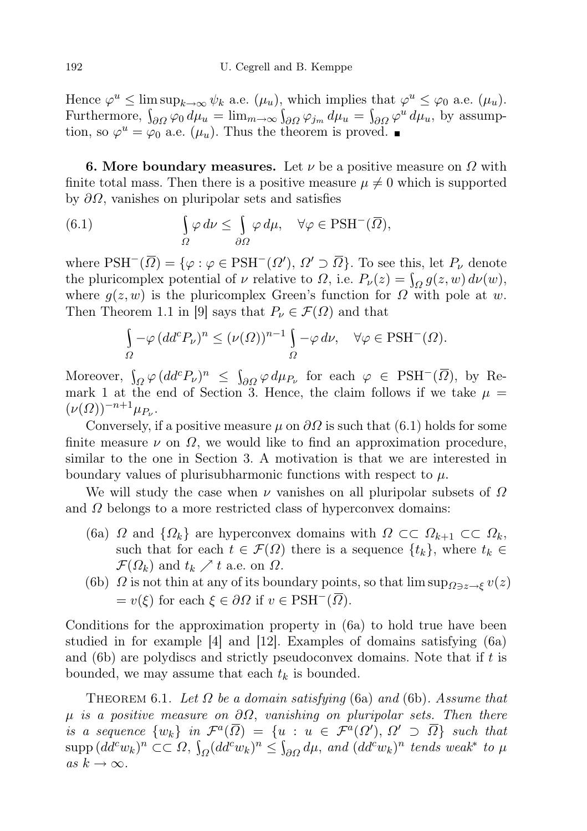Hence  $\varphi^u \le \limsup_{k \to \infty} \psi_k$  a.e.  $(\mu_u)$ , which implies that  $\varphi^u \le \varphi_0$  a.e.  $(\mu_u)$ . Furthermore,  $\int_{\partial\Omega} \varphi_0 d\mu_u = \lim_{m\to\infty} \int_{\partial\Omega} \varphi_{j_m} d\mu_u = \int_{\partial\Omega} \varphi^u d\mu_u$ , by assumption, so  $\varphi^u = \varphi_0$  a.e.  $(\mu_u)$ . Thus the theorem is proved.

**6. More boundary measures.** Let  $\nu$  be a positive measure on  $\Omega$  with finite total mass. Then there is a positive measure  $\mu \neq 0$  which is supported by  $\partial\Omega$ , vanishes on pluripolar sets and satisfies

(6.1) 
$$
\int_{\Omega} \varphi \, d\nu \leq \int_{\partial \Omega} \varphi \, d\mu, \quad \forall \varphi \in \text{PSH}^-(\overline{\Omega}),
$$

where  $\mathrm{PSH}^-(\overline{\Omega}) = \{ \varphi : \varphi \in \mathrm{PSH}^-(\Omega'), \Omega' \supset \overline{\Omega} \}$ . To see this, let  $P_\nu$  denote the pluricomplex potential of  $\nu$  relative to  $\Omega$ , i.e.  $P_{\nu}(z) = \int_{\Omega} g(z, w) d\nu(w)$ , where  $g(z, w)$  is the pluricomplex Green's function for  $\Omega$  with pole at w. Then Theorem 1.1 in [9] says that  $P_{\nu} \in \mathcal{F}(\Omega)$  and that

$$
\int_{\Omega} -\varphi (dd^c P_{\nu})^n \le (\nu(\Omega))^{n-1} \int_{\Omega} -\varphi \, d\nu, \quad \forall \varphi \in \text{PSH}^-(\Omega).
$$

Moreover,  $\int_{\Omega} \varphi (dd^c P_{\nu})^n \leq \int_{\partial \Omega} \varphi d\mu_{P_{\nu}}$  for each  $\varphi \in \text{PSH}^-(\overline{\Omega})$ , by Remark 1 at the end of Section 3. Hence, the claim follows if we take  $\mu =$  $(\nu(\Omega))^{-n+1}\mu_{P_{\nu}}.$ 

Conversely, if a positive measure  $\mu$  on  $\partial\Omega$  is such that (6.1) holds for some finite measure  $\nu$  on  $\Omega$ , we would like to find an approximation procedure, similar to the one in Section 3. A motivation is that we are interested in boundary values of plurisubharmonic functions with respect to  $\mu$ .

We will study the case when  $\nu$  vanishes on all pluripolar subsets of  $\Omega$ and  $\Omega$  belongs to a more restricted class of hyperconvex domains:

- (6a)  $\Omega$  and  $\{\Omega_k\}$  are hyperconvex domains with  $\Omega \subset\subset \Omega_{k+1} \subset\subset \Omega_k$ , such that for each  $t \in \mathcal{F}(\Omega)$  there is a sequence  $\{t_k\}$ , where  $t_k \in$  $\mathcal{F}(\Omega_k)$  and  $t_k \nearrow t$  a.e. on  $\Omega$ .
- (6b)  $\Omega$  is not thin at any of its boundary points, so that  $\limsup_{\Omega \ni z \to \xi} v(z)$  $= v(\xi)$  for each  $\xi \in \partial \Omega$  if  $v \in \text{PSH}^-(\Omega)$ .

Conditions for the approximation property in (6a) to hold true have been studied in for example [4] and [12]. Examples of domains satisfying (6a) and (6b) are polydiscs and strictly pseudoconvex domains. Note that if  $t$  is bounded, we may assume that each  $t_k$  is bounded.

THEOREM 6.1. Let  $\Omega$  be a domain satisfying (6a) and (6b). Assume that  $\mu$  is a positive measure on  $\partial\Omega$ , vanishing on pluripolar sets. Then there is a sequence  $\{w_k\}$  in  $\mathcal{F}^a(\overline{\Omega}) = \{u : u \in \mathcal{F}^a(\Omega'), \Omega' \supset \overline{\Omega}\}$  such that  $\text{supp} (dd^c w_k)^n \subset \subset \Omega$ ,  $\int_{\Omega} (dd^c w_k)^n \leq \int_{\partial \Omega} d\mu$ , and  $(dd^c w_k)^n$  tends weak<sup>\*</sup> to  $\mu$ as  $k \to \infty$ .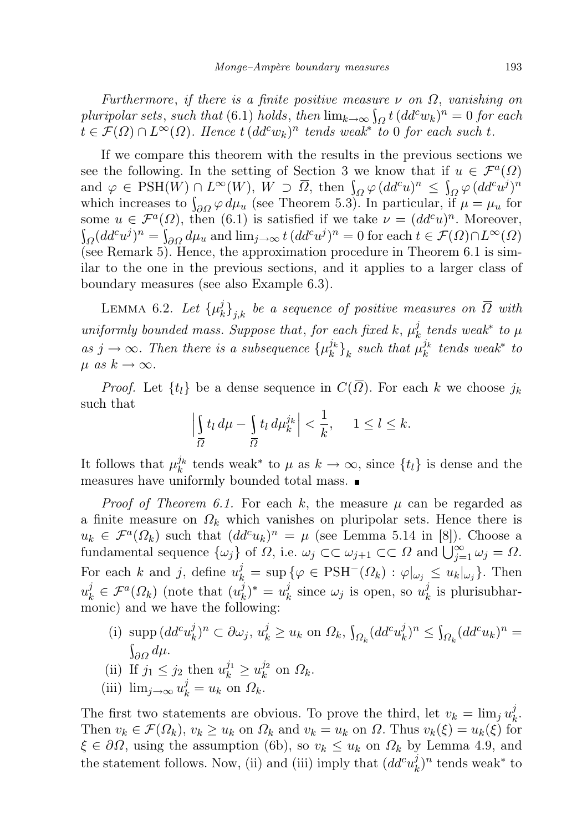Furthermore, if there is a finite positive measure  $\nu$  on  $\Omega$ , vanishing on pluripolar sets, such that (6.1) holds, then  $\lim_{k\to\infty} \int_{\Omega} t \, (dd^c w_k)^n = 0$  for each  $t \in \mathcal{F}(\Omega) \cap L^{\infty}(\Omega)$ . Hence  $t (dd^c w_k)^n$  tends weak<sup>\*</sup> to 0 for each such t.

If we compare this theorem with the results in the previous sections we see the following. In the setting of Section 3 we know that if  $u \in \mathcal{F}^a(\Omega)$ and  $\varphi \in \text{PSH}(W) \cap L^{\infty}(W)$ ,  $W \supset \overline{\Omega}$ , then  $\int_{\Omega} \varphi (dd^c u)^n \leq \int_{\Omega} \varphi (dd^c u)^n$ which increases to  $\int_{\partial\Omega} \varphi \, d\mu_u$  (see Theorem 5.3). In particular, if  $\mu = \mu_u$  for some  $u \in \mathcal{F}^a(\Omega)$ , then (6.1) is satisfied if we take  $\nu = (dd^c u)^n$ . Moreover,  $\int_{\Omega} (dd^c u^j)^n = \int_{\partial \Omega} d\mu_u$  and  $\lim_{j \to \infty} t \, (dd^c u^j)^n = 0$  for each  $t \in \mathcal{F}(\Omega) \cap L^{\infty}(\Omega)$ (see Remark 5). Hence, the approximation procedure in Theorem 6.1 is similar to the one in the previous sections, and it applies to a larger class of boundary measures (see also Example 6.3).

LEMMA 6.2. Let  $\{\mu_k^j\}$  $\left\{ \mathcal{E}_{k}^{j}\right\} _{j,k}$  be a sequence of positive measures on  $\Omega$  with uniformly bounded mass. Suppose that, for each fixed k,  $\mu_k^j$  $\frac{j}{k}$  tends weak\* to  $\mu$ as  $j \to \infty$ . Then there is a subsequence  $\{\mu_k^{j_k}\}_k$  such that  $\mu_k^{j_k}$  tends weak\* to  $\mu$  as  $k \to \infty$ .

*Proof.* Let  $\{t_l\}$  be a dense sequence in  $C(\overline{\Omega})$ . For each k we choose  $j_k$ such that

$$
\left|\int_{\overline{\Omega}} t_l \, d\mu - \int_{\overline{\Omega}} t_l \, d\mu_k^{j_k}\right| < \frac{1}{k}, \quad 1 \le l \le k.
$$

It follows that  $\mu_k^{j_k}$  tends weak<sup>\*</sup> to  $\mu$  as  $k \to \infty$ , since  $\{t_l\}$  is dense and the measures have uniformly bounded total mass.

*Proof of Theorem 6.1.* For each k, the measure  $\mu$  can be regarded as a finite measure on  $\Omega_k$  which vanishes on pluripolar sets. Hence there is  $u_k \in \mathcal{F}^a(\Omega_k)$  such that  $(dd^c u_k)^n = \mu$  (see Lemma 5.14 in [8]). Choose a fundamental sequence  $\{\omega_j\}$  of  $\Omega$ , i.e.  $\omega_j \subset \subset \omega_{j+1} \subset \subset \Omega$  and  $\bigcup_{j=1}^{\infty} \omega_j = \Omega$ . For each k and j, define  $u_k^j = \sup \{ \varphi \in \text{PSH}^-(\Omega_k) : \varphi |_{\omega_j} \leq u_k |_{\omega_j} \}$ . Then  $u_k^j \in \mathcal{F}^a(\Omega_k)$  (note that  $(u_k^j)$  $(\frac{j}{k})^* = u_k^j$  $\frac{j}{k}$  since  $\omega_j$  is open, so  $u_k^j$  $\frac{\partial}{\partial k}$  is plurisubharmonic) and we have the following:

- (i) supp  $(dd^c u_k^j)$  $(\hat{y}_k)^n \subset \partial \omega_j, u_k^j \ge u_k$  on  $\Omega_k$ ,  $\int_{\Omega_k} (dd^c u_k^j)$  $\int_k^j)^n \leq \int_{\Omega_k} (dd^c u_k)^n =$  $\int_{\partial\Omega}d\mu.$
- (ii) If  $j_1 \leq j_2$  then  $u_k^{j_1} \geq u_k^{j_2}$  $\frac{j_2}{k}$  on  $\Omega_k$ .
- (iii)  $\lim_{j\to\infty} u_k^j = u_k$  on  $\Omega_k$ .

The first two statements are obvious. To prove the third, let  $v_k = \lim_j u_k^j$  $\frac{j}{k}$ . Then  $v_k \in \mathcal{F}(\Omega_k)$ ,  $v_k \geq u_k$  on  $\Omega_k$  and  $v_k = u_k$  on  $\Omega$ . Thus  $v_k(\xi) = u_k(\xi)$  for  $\xi \in \partial \Omega$ , using the assumption (6b), so  $v_k \leq u_k$  on  $\Omega_k$  by Lemma 4.9, and the statement follows. Now, (ii) and (iii) imply that  $(dd^c u^j_k)$  $(k)$ <sup>*i*</sup> tends weak<sup>\*</sup> to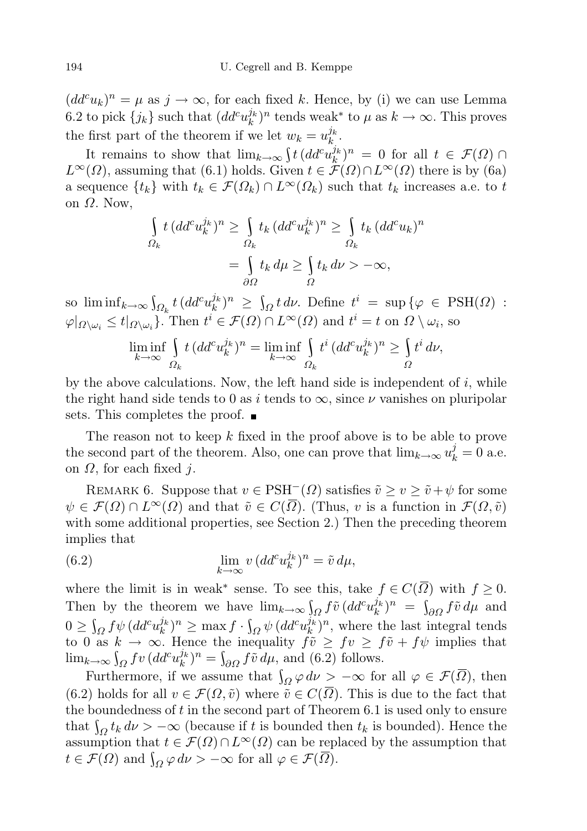$(dd^c u_k)^n = \mu$  as  $j \to \infty$ , for each fixed k. Hence, by (i) we can use Lemma 6.2 to pick  $\{j_k\}$  such that  $(dd^c u_k^{j_k})^n$  tends weak<sup>\*</sup> to  $\mu$  as  $k \to \infty$ . This proves the first part of the theorem if we let  $w_k = u_k^{j_k}$ .

It remains to show that  $\lim_{k\to\infty} \int t\,(dd^c u_k^{j_k})^n = 0$  for all  $t \in \mathcal{F}(\Omega)$  $L^{\infty}(\Omega)$ , assuming that (6.1) holds. Given  $t \in \mathcal{F}(\Omega) \cap L^{\infty}(\Omega)$  there is by (6a) a sequence  $\{t_k\}$  with  $t_k \in \mathcal{F}(\Omega_k) \cap L^{\infty}(\Omega_k)$  such that  $t_k$  increases a.e. to t on  $Ω$ . Now,

$$
\int_{\Omega_k} t \, (dd^c u_k^{j_k})^n \ge \int_{\Omega_k} t_k \, (dd^c u_k^{j_k})^n \ge \int_{\Omega_k} t_k \, (dd^c u_k)^n
$$
\n
$$
= \int_{\partial \Omega} t_k \, d\mu \ge \int_{\Omega} t_k \, d\nu > -\infty,
$$

so  $\liminf_{k\to\infty} \int_{\Omega_k} t \, (dd^c u_k^{j_k})^n \ge \int_{\Omega} t \, d\nu$ . Define  $t^i = \sup \{ \varphi \in \text{PSH}(\Omega) :$  $\varphi|_{\Omega \setminus \omega_i} \leq t|_{\Omega \setminus \omega_i}$ . Then  $t^i \in \mathcal{F}(\Omega) \cap L^{\infty}(\Omega)$  and  $t^i = t$  on  $\Omega \setminus \omega_i$ , so

$$
\liminf_{k \to \infty} \int_{\Omega_k} t \, (dd^c u_k^{j_k})^n = \liminf_{k \to \infty} \int_{\Omega_k} t^i \, (dd^c u_k^{j_k})^n \ge \int_{\Omega} t^i \, d\nu,
$$

by the above calculations. Now, the left hand side is independent of  $i$ , while the right hand side tends to 0 as i tends to  $\infty$ , since  $\nu$  vanishes on pluripolar sets. This completes the proof.  $\blacksquare$ 

The reason not to keep  $k$  fixed in the proof above is to be able to prove the second part of the theorem. Also, one can prove that  $\lim_{k\to\infty} u_k^j = 0$  a.e. on  $\Omega$ , for each fixed *i*.

REMARK 6. Suppose that  $v \in \text{PSH}^-(\Omega)$  satisfies  $\tilde{v} \ge v \ge \tilde{v} + \psi$  for some  $\psi \in \mathcal{F}(\Omega) \cap L^{\infty}(\Omega)$  and that  $\tilde{v} \in C(\overline{\Omega})$ . (Thus, v is a function in  $\mathcal{F}(\Omega,\tilde{v})$ with some additional properties, see Section 2.) Then the preceding theorem implies that

(6.2) 
$$
\lim_{k \to \infty} v \, (dd^c u_k^{j_k})^n = \tilde{v} \, d\mu,
$$

where the limit is in weak<sup>\*</sup> sense. To see this, take  $f \in C(\overline{\Omega})$  with  $f \geq 0$ . Then by the theorem we have  $\lim_{k\to\infty} \int_{\Omega} f\tilde{v} (dd^c u_k^{j_k})^n = \int_{\partial\Omega} f\tilde{v} d\mu$  and  $0 \ge \int_{\Omega} f \psi \, (dd^c u_k^{j_k})^n \ge \max f \cdot \int_{\Omega} \psi \, (dd^c u_k^{j_k})^n$ , where the last integral tends to 0 as  $k \to \infty$ . Hence the inequality  $f\tilde{v} \geq fv \geq f\tilde{v} + fy$  implies that  $\lim_{k\to\infty} \int_{\Omega} f v \, (dd^c u_k^{j_k})^n = \int_{\partial\Omega} f \tilde{v} \, d\mu$ , and (6.2) follows.

Furthermore, if we assume that  $\int_{\Omega} \varphi \, d\nu > -\infty$  for all  $\varphi \in \mathcal{F}(\overline{\Omega})$ , then (6.2) holds for all  $v \in \mathcal{F}(\Omega, \tilde{v})$  where  $\tilde{v} \in C(\overline{\Omega})$ . This is due to the fact that the boundedness of  $t$  in the second part of Theorem 6.1 is used only to ensure that  $\int_{\Omega} t_k d\nu > -\infty$  (because if t is bounded then  $t_k$  is bounded). Hence the assumption that  $t \in \mathcal{F}(\Omega) \cap L^{\infty}(\Omega)$  can be replaced by the assumption that  $t \in \mathcal{F}(\Omega)$  and  $\int_{\Omega} \varphi \, d\nu > -\infty$  for all  $\varphi \in \mathcal{F}(\overline{\Omega})$ .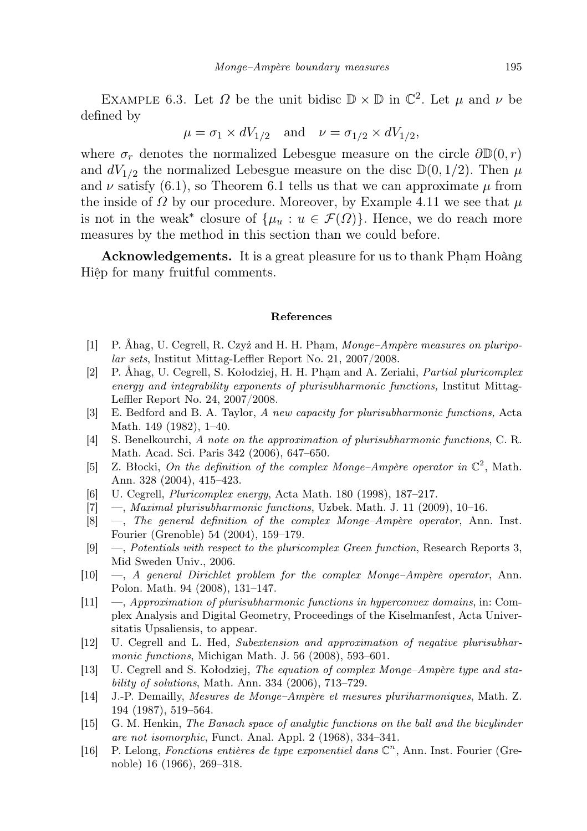EXAMPLE 6.3. Let  $\Omega$  be the unit bidisc  $\mathbb{D} \times \mathbb{D}$  in  $\mathbb{C}^2$ . Let  $\mu$  and  $\nu$  be defined by

$$
\mu = \sigma_1 \times dV_{1/2}
$$
 and  $\nu = \sigma_{1/2} \times dV_{1/2}$ ,

where  $\sigma_r$  denotes the normalized Lebesgue measure on the circle  $\partial \mathbb{D}(0,r)$ and  $dV_{1/2}$  the normalized Lebesgue measure on the disc  $\mathbb{D}(0, 1/2)$ . Then  $\mu$ and  $\nu$  satisfy (6.1), so Theorem 6.1 tells us that we can approximate  $\mu$  from the inside of  $\Omega$  by our procedure. Moreover, by Example 4.11 we see that  $\mu$ is not in the weak<sup>\*</sup> closure of  $\{\mu_u : u \in \mathcal{F}(\Omega)\}\)$ . Hence, we do reach more measures by the method in this section than we could before.

Acknowledgements. It is a great pleasure for us to thank Pham Hoàng Hiêp for many fruitful comments.

## References

- [1] P. Åhag, U. Cegrell, R. Czyż and H. H. Pham, Monge–Ampère measures on pluripolar sets, Institut Mittag-Leffler Report No. 21, 2007/2008.
- [2] P. Ahag, U. Cegrell, S. Kołodziej, H. H. Pham and A. Zeriahi, *Partial pluricomplex* energy and integrability exponents of plurisubharmonic functions, Institut Mittag-Leffler Report No. 24, 2007/2008.
- [3] E. Bedford and B. A. Taylor, A new capacity for plurisubharmonic functions, Acta Math. 149 (1982), 1–40.
- [4] S. Benelkourchi, A note on the approximation of plurisubharmonic functions, C. R. Math. Acad. Sci. Paris 342 (2006), 647–650.
- [5] Z. Błocki, On the definition of the complex Monge-Ampère operator in  $\mathbb{C}^2$ , Math. Ann. 328 (2004), 415–423.
- [6] U. Cegrell, Pluricomplex energy, Acta Math. 180 (1998), 187–217.
- [7] —, Maximal plurisubharmonic functions, Uzbek. Math. J. 11 (2009), 10–16.
- [8] —, The general definition of the complex Monge–Ampère operator, Ann. Inst. Fourier (Grenoble) 54 (2004), 159–179.
- [9] —, Potentials with respect to the pluricomplex Green function, Research Reports 3, Mid Sweden Univ., 2006.
- [10] —, A general Dirichlet problem for the complex Monge–Ampère operator, Ann. Polon. Math. 94 (2008), 131–147.
- [11] —, Approximation of plurisubharmonic functions in hyperconvex domains, in: Complex Analysis and Digital Geometry, Proceedings of the Kiselmanfest, Acta Universitatis Upsaliensis, to appear.
- [12] U. Cegrell and L. Hed, Subextension and approximation of negative plurisubharmonic functions, Michigan Math. J. 56 (2008), 593-601.
- [13] U. Cegrell and S. Kołodziej, The equation of complex Monge–Ampère type and stability of solutions, Math. Ann. 334 (2006), 713–729.
- [14] J.-P. Demailly, Mesures de Monge–Ampère et mesures pluriharmoniques, Math. Z. 194 (1987), 519–564.
- [15] G. M. Henkin, The Banach space of analytic functions on the ball and the bicylinder are not isomorphic, Funct. Anal. Appl. 2 (1968), 334–341.
- [16] P. Lelong, Fonctions entières de type exponentiel dans  $\mathbb{C}^n$ , Ann. Inst. Fourier (Grenoble) 16 (1966), 269–318.